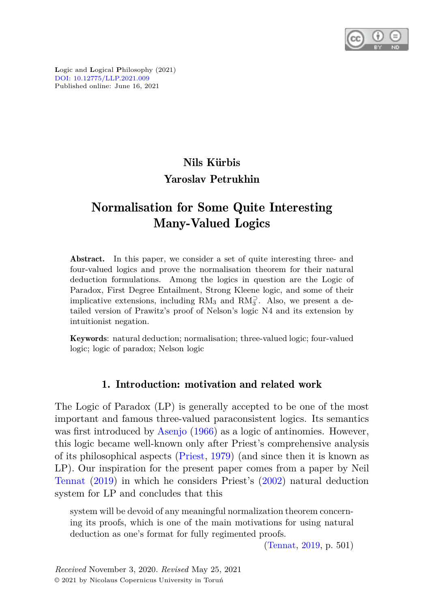

**L**ogic and **L**ogical **P**hilosophy (2021) [DOI: 10.12775/LLP.2021.009](http://dx.doi.org/10.12775/LLP.2021.009) Published online: June 16, 2021

# Nils Kürbis Yaroslav Petrukhin

## Normalisation for Some Quite Interesting Many-Valued Logics

Abstract. In this paper, we consider a set of quite interesting three- and four-valued logics and prove the normalisation theorem for their natural deduction formulations. Among the logics in question are the Logic of Paradox, First Degree Entailment, Strong Kleene logic, and some of their implicative extensions, including RM<sub>3</sub> and RM<sub>3</sub><sup>2</sup>. Also, we present a detailed version of Prawitz's proof of Nelson's logic N4 and its extension by intuitionist negation.

Keywords: natural deduction; normalisation; three-valued logic; four-valued logic; logic of paradox; Nelson logic

## 1. Introduction: motivation and related work

The Logic of Paradox (LP) is generally accepted to be one of the most important and famous three-valued paraconsistent logics. Its semantics was first introduced by [Asenjo](#page-37-0) [\(1966\)](#page-37-0) as a logic of antinomies. However, this logic became well-known only after Priest's comprehensive analysis of its philosophical aspects [\(Priest](#page-40-0), [1979\)](#page-40-0) (and since then it is known as LP). Our inspiration for the present paper comes from a paper by Neil [Tennat](#page-41-0) [\(2019\)](#page-41-0) in which he considers Priest's [\(2002\)](#page-40-1) natural deduction system for LP and concludes that this

system will be devoid of any meaningful normalization theorem concerning its proofs, which is one of the main motivations for using natural deduction as one's format for fully regimented proofs.

[\(Tennat](#page-41-0), [2019,](#page-41-0) p. 501)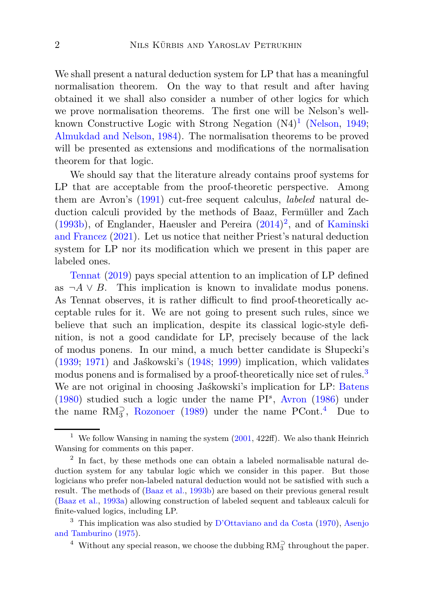We shall present a natural deduction system for LP that has a meaningful normalisation theorem. On the way to that result and after having obtained it we shall also consider a number of other logics for which we prove normalisation theorems. The first one will be Nelson's well-known Constructive Logic with Strong Negation (N4)<sup>[1](#page-1-0)</sup> [\(Nelson,](#page-39-0) [1949;](#page-39-0) [Almukdad and Nelson](#page-37-1), [1984](#page-37-1)). The normalisation theorems to be proved will be presented as extensions and modifications of the normalisation theorem for that logic.

We should say that the literature already contains proof systems for LP that are acceptable from the proof-theoretic perspective. Among them are Avron's [\(1991](#page-38-0)) cut-free sequent calculus, *labeled* natural deduction calculi provided by the methods of Baaz, Fermüller and Zach  $(1993b)$  $(1993b)$ , of [Englander, Haeusler and Pereira](#page-39-1)  $(2014)^2$  $(2014)^2$  $(2014)^2$ , and of Kaminski and Francez [\(2021\)](#page-39-1). Let us notice that neither Priest's natural deduction system for LP nor its modification which we present in this paper are [labeled one](#page-41-0)s.

Tennat [\(2019\)](#page-41-0) pays special attention to an implication of LP defined as  $\neg A \lor B$ . This implication is known to invalidate modus ponens. As Tennat observes, it is rather difficult to find proof-theoretically acceptable rules for it. We are not going to present such rules, since we believe that such an implication, despite its classical logic-style definition, is not a good candidate for LP, precisely because of the lack of modus ponens. In our mind, a much better candidate is Słupecki's [\(1939](#page-40-2); [1971\)](#page-40-3) and Jaśkowski's [\(1948;](#page-38-3) [1999](#page-38-4)) implication, which validates modus ponens and is formalised by a proof-theoretically nice set of rules.<sup>[3](#page-1-2)</sup> We are not original in choosing Jaśkowski's implication for LP: [Batens](#page-38-5) [\(1980](#page-38-5)) studied such a logic under the name PI*<sup>s</sup>* , [Avron](#page-38-6) [\(1986\)](#page-38-6) under the name  $RM_3^2$ , [Rozonoer](#page-40-4) [\(1989\)](#page-40-4) under the name PCont.<sup>[4](#page-1-3)</sup> Due to

<span id="page-1-0"></span><sup>&</sup>lt;sup>1</sup> We follow Wansing in naming the system  $(2001, 422\text{ff})$  $(2001, 422\text{ff})$ . We also thank Heinrich Wansing for comments on this paper.

<span id="page-1-1"></span><sup>&</sup>lt;sup>2</sup> In fact, by these methods one can obtain a labeled normalisable natural deduction system for any tabular logic which we consider in this paper. But those logicians who prefer non-labeled natural deduction would not be satisfied with such a result. The methods of [\(Baaz et al.](#page-38-1), [1993b\)](#page-38-1) are based on their previous general result [\(Baaz et al.](#page-38-7), [1993a](#page-38-7)) allowing construction of labeled sequent and tableaux calculi for finite-valued logics, including LP.

<sup>&</sup>lt;sup>3</sup> This imp[lication was also studied by](#page-37-2) [D'Ottaviano and da Costa](#page-38-8) [\(1970\)](#page-38-8), Asenjo and Tamburino [\(1975](#page-37-2)).

<span id="page-1-3"></span><span id="page-1-2"></span><sup>&</sup>lt;sup>4</sup> Without any special reason, we choose the dubbing  $RM_3^{\supset}$  throughout the paper.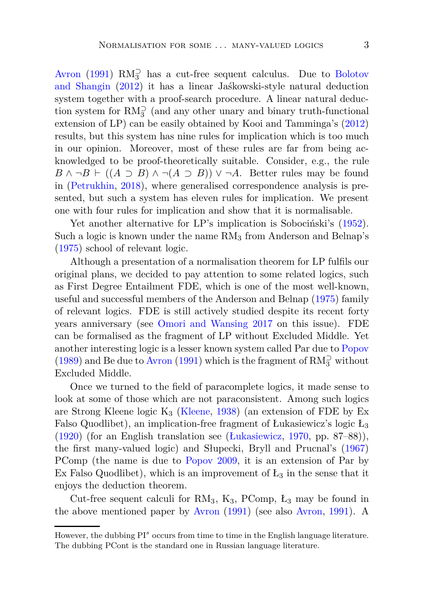[Avron](#page-38-0) [\(1991](#page-38-0))  $RM_3^{\supset}$  [has a cut-free sequent calculus. Due to](#page-38-9) Bolotov and Shangin [\(2012\)](#page-38-9) it has a linear Jaśkowski-style natural deduction system together with a proof-search procedure. A linear natural deduction system for  $\mathrm{RM}^{\supset}_{3}$  (and any other unary and binary truth-functional extension of LP) can be easily obtained by Kooi and Tamminga's [\(2012](#page-39-2)) results, but this system has nine rules for implication which is too much in our opinion. Moreover, most of these rules are far from being acknowledged to be proof-theoretically suitable. Consider, e.g., the rule *B* ∧ ¬*B* ⊢ ((*A* ⊃ *B*) ∧ ¬(*A* ⊃ *B*)) ∨ ¬*A*. Better rules may be found in [\(Petrukhin](#page-39-3), [2018](#page-39-3)), where generalised correspondence analysis is presented, but such a system has eleven rules for implication. We present one with four rules for implication and show that it is normalisable.

Yet another alternative for LP's implication is Sobociński's [\(1952\)](#page-40-5). Such a logic is known under the name  $RM_3$  from Anderson and Belnap's [\(1975](#page-37-3)) school of relevant logic.

Although a presentation of a normalisation theorem for LP fulfils our original plans, we decided to pay attention to some related logics, such as First Degree Entailment FDE, which is one of the most well-known, useful and successful members of the Anderson and Belnap [\(1975\)](#page-37-3) family of relevant logics. FDE is still actively studied despite its recent forty years anniversary (see [Omori and Wansing 2017](#page-39-4) on this issue). FDE can be formalised as the fragment of LP without Excluded Middle. Yet another interesting logic is a lesser known system called Par due to [Popov](#page-40-6) [\(1989](#page-40-6)) and Be due to [Avron](#page-38-0) [\(1991\)](#page-38-0) which is the fragment of  $\mathrm{RM}_3^{\supset}$  without Excluded Middle.

Once we turned to the field of paracomplete logics, it made sense to look at some of those which are not paraconsistent. Among such logics are Strong Kleene logic  $K_3$  [\(Kleene,](#page-39-5) [1938\)](#page-39-5) (an extension of FDE by Ex Falso Quodlibet), an implication-free fragment of Łukasiewicz's logic  $L_3$ [\(1920](#page-39-6)) (for an English translation see [\(Łukasiewicz](#page-39-7), [1970](#page-39-7), pp. 87–88)), the first many-valued logic) and Słupecki, Bryll and Prucnal's [\(1967](#page-40-7)) PComp (the name is due to [Popov 2009,](#page-40-8) it is an extension of Par by Ex Falso Quodlibet), which is an improvement of  $L_3$  in the sense that it enjoys the deduction theorem.

Cut-free sequent calculi for  $RM_3$ ,  $K_3$ ,  $PComp$ ,  $L_3$  may be found in the above mentioned paper by [Avron](#page-38-0) [\(1991\)](#page-38-0) (see also [Avron](#page-38-0), [1991](#page-38-0)). A

However, the dubbing PI<sup>s</sup> occurs from time to time in the English language literature. The dubbing PCont is the standard one in Russian language literature.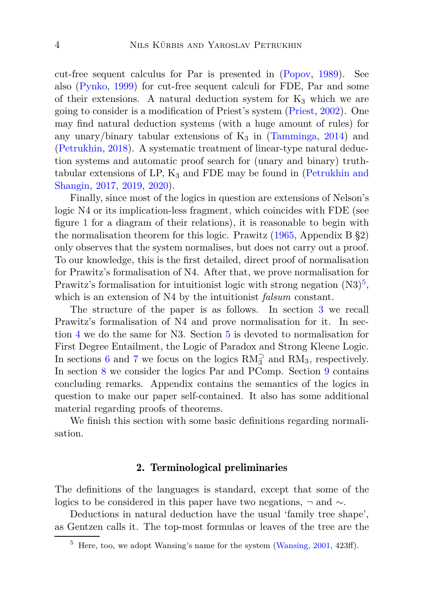cut-free sequent calculus for Par is presented in [\(Popov,](#page-40-6) [1989](#page-40-6)). See also [\(Pynko,](#page-40-9) [1999\)](#page-40-9) for cut-free sequent calculi for FDE, Par and some of their extensions. A natural deduction system for  $K_3$  which we are going to consider is a modification of Priest's system [\(Priest,](#page-40-1) [2002\)](#page-40-1). One may find natural deduction systems (with a huge amount of rules) for any unary/binary tabular extensions of  $K_3$  in [\(Tamminga](#page-40-10), [2014](#page-40-10)) and [\(Petrukhin,](#page-39-3) [2018\)](#page-39-3). A systematic treatment of linear-type natural deduction systems and automatic proof search for (unary and binary) truthtabular extensions of LP,  $K_3$  [and FDE may be found in \(](#page-39-8)Petrukhin and Shangin, [2017](#page-39-8), [2019,](#page-39-9) [2020\)](#page-40-11).

Finally, since most of the logics in question are extensions of Nelson's logic N4 or its implication-less fragment, which coincides with FDE (see figure [1](#page-8-0) for a diagram of their relations), it is reasonable to begin with the normalisation theorem for this logic. Prawitz [\(1965](#page-40-12), Appendix B §2) only observes that the system normalises, but does not carry out a proof. To our knowledge, this is the first detailed, direct proof of normalisation for Prawitz's formalisation of N4. After that, we prove normalisation for Prawitz's formalisation for intuitionist logic with strong negation  $(N3)^5$  $(N3)^5$ , which is an extension of N4 by the intuitionist *falsum* constant.

The structure of the paper is as follows. In section [3](#page-8-1) we recall Prawitz's formalisation of N4 and prove normalisation for it. In section [4](#page-13-0) we do the same for N3. Section [5](#page-16-0) is devoted to normalisation for First Degree Entailment, the Logic of Paradox and Strong Kleene Logic. In sections [6](#page-19-0) and [7](#page-21-0) we focus on the logics  $RM_3^{\supset}$  and  $RM_3$ , respectively. In section [8](#page-22-0) we consider the logics Par and PComp. Section [9](#page-27-0) contains concluding remarks. Appendix contains the semantics of the logics in question to make our paper self-contained. It also has some additional material regarding proofs of theorems.

We finish this section with some basic definitions regarding normalisation.

### 2. Terminological preliminaries

The definitions of the languages is standard, except that some of the logics to be considered in this paper have two negations, ¬ and ∼.

Deductions in natural deduction have the usual 'family tree shape', as Gentzen calls it. The top-most formulas or leaves of the tree are the

<span id="page-3-0"></span> $5$  Here, too, we adopt Wansing's name for the system [\(Wansing](#page-41-1), [2001,](#page-41-1) 423ff).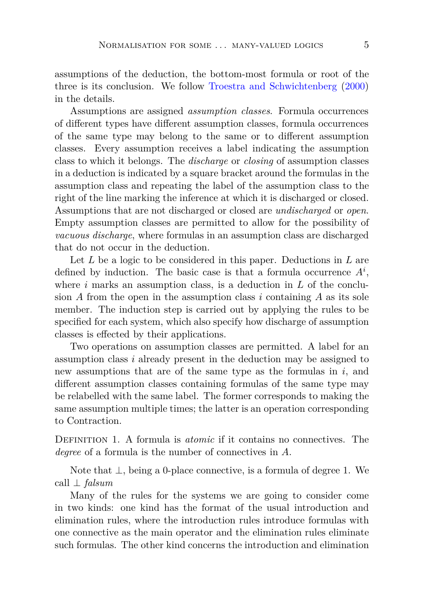assumptions of the deduction, the bottom-most formula or root of the three is its conclusion. We follow [Troestra and Schwichtenberg](#page-41-2) [\(2000](#page-41-2)) in the details.

Assumptions are assigned *assumption classes*. Formula occurrences of different types have different assumption classes, formula occurrences of the same type may belong to the same or to different assumption classes. Every assumption receives a label indicating the assumption class to which it belongs. The *discharge* or *closing* of assumption classes in a deduction is indicated by a square bracket around the formulas in the assumption class and repeating the label of the assumption class to the right of the line marking the inference at which it is discharged or closed. Assumptions that are not discharged or closed are *undischarged* or *open*. Empty assumption classes are permitted to allow for the possibility of *vacuous discharge*, where formulas in an assumption class are discharged that do not occur in the deduction.

Let *L* be a logic to be considered in this paper. Deductions in *L* are defined by induction. The basic case is that a formula occurrence  $A^i$ , where *i* marks an assumption class, is a deduction in *L* of the conclusion  $A$  from the open in the assumption class  $i$  containing  $A$  as its sole member. The induction step is carried out by applying the rules to be specified for each system, which also specify how discharge of assumption classes is effected by their applications.

Two operations on assumption classes are permitted. A label for an assumption class *i* already present in the deduction may be assigned to new assumptions that are of the same type as the formulas in *i*, and different assumption classes containing formulas of the same type may be relabelled with the same label. The former corresponds to making the same assumption multiple times; the latter is an operation corresponding to Contraction.

Definition 1. A formula is *atomic* if it contains no connectives. The *degree* of a formula is the number of connectives in *A*.

Note that ⊥, being a 0-place connective, is a formula of degree 1. We call ⊥ *falsum*

Many of the rules for the systems we are going to consider come in two kinds: one kind has the format of the usual introduction and elimination rules, where the introduction rules introduce formulas with one connective as the main operator and the elimination rules eliminate such formulas. The other kind concerns the introduction and elimination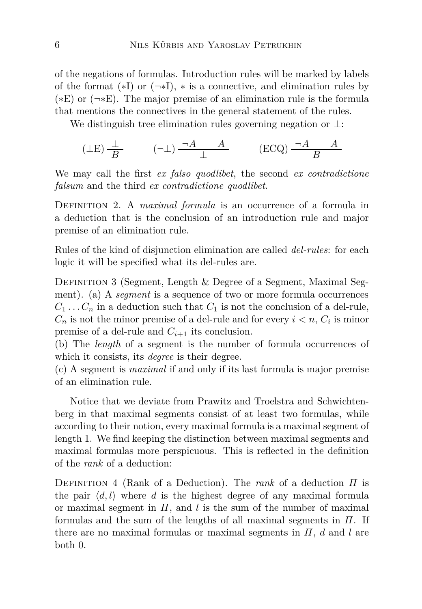of the negations of formulas. Introduction rules will be marked by labels of the format  $(*I)$  or  $(\neg *I)$ ,  $*$  is a connective, and elimination rules by  $(*E)$  or  $(\neg *E)$ . The major premise of an elimination rule is the formula that mentions the connectives in the general statement of the rules.

We distinguish tree elimination rules governing negation or ⊥:

$$
(\perp \mathcal{E}) \frac{\perp}{B} \qquad (\neg \perp) \frac{\neg A \qquad A}{\perp} \qquad (\mathcal{E}\mathcal{C}\mathcal{Q}) \frac{\neg A \qquad A}{B}
$$

<span id="page-5-0"></span>We may call the first *ex falso quodlibet*, the second *ex contradictione falsum* and the third *ex contradictione quodlibet*.

Definition 2. A *maximal formula* is an occurrence of a formula in a deduction that is the conclusion of an introduction rule and major premise of an elimination rule.

<span id="page-5-1"></span>Rules of the kind of disjunction elimination are called *del-rules*: for each logic it will be specified what its del-rules are.

DEFINITION 3 (Segment, Length & Degree of a Segment, Maximal Segment). (a) A *segment* is a sequence of two or more formula occurrences  $C_1 \ldots C_n$  in a deduction such that  $C_1$  is not the conclusion of a del-rule,  $C_n$  is not the minor premise of a del-rule and for every  $i < n$ ,  $C_i$  is minor premise of a del-rule and  $C_{i+1}$  its conclusion.

(b) The *length* of a segment is the number of formula occurrences of which it consists, its *degree* is their degree.

(c) A segment is *maximal* if and only if its last formula is major premise of an elimination rule.

Notice that we deviate from Prawitz and Troelstra and Schwichtenberg in that maximal segments consist of at least two formulas, while according to their notion, every maximal formula is a maximal segment of length 1. We find keeping the distinction between maximal segments and maximal formulas more perspicuous. This is reflected in the definition of the *rank* of a deduction:

Definition 4 (Rank of a Deduction). The *rank* of a deduction *Π* is the pair  $\langle d, l \rangle$  where *d* is the highest degree of any maximal formula or maximal segment in *Π*, and *l* is the sum of the number of maximal formulas and the sum of the lengths of all maximal segments in *Π*. If there are no maximal formulas or maximal segments in *Π*, *d* and *l* are both 0.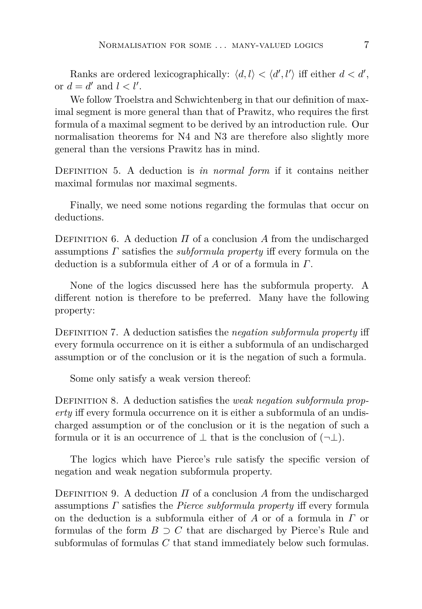Ranks are ordered lexicographically:  $\langle d, l \rangle < \langle d', l' \rangle$  iff either  $d < d'$ , or  $d = d'$  and  $l < l'$ .

We follow Troelstra and Schwichtenberg in that our definition of maximal segment is more general than that of Prawitz, who requires the first formula of a maximal segment to be derived by an introduction rule. Our normalisation theorems for N4 and N3 are therefore also slightly more general than the versions Prawitz has in mind.

DEFINITION 5. A deduction is *in normal form* if it contains neither maximal formulas nor maximal segments.

Finally, we need some notions regarding the formulas that occur on deductions.

DEFINITION 6. A deduction  $\Pi$  of a conclusion  $\Lambda$  from the undischarged assumptions *Γ* satisfies the *subformula property* iff every formula on the deduction is a subformula either of *A* or of a formula in *Γ*.

None of the logics discussed here has the subformula property. A different notion is therefore to be preferred. Many have the following property:

Definition 7. A deduction satisfies the *negation subformula property* iff every formula occurrence on it is either a subformula of an undischarged assumption or of the conclusion or it is the negation of such a formula.

Some only satisfy a weak version thereof:

Definition 8. A deduction satisfies the *weak negation subformula property* iff every formula occurrence on it is either a subformula of an undischarged assumption or of the conclusion or it is the negation of such a formula or it is an occurrence of  $\perp$  that is the conclusion of  $(\neg \perp)$ .

The logics which have Pierce's rule satisfy the specific version of negation and weak negation subformula property.

DEFINITION 9. A deduction  $\Pi$  of a conclusion  $\Lambda$  from the undischarged assumptions *Γ* satisfies the *Pierce subformula property* iff every formula on the deduction is a subformula either of *A* or of a formula in *Γ* or formulas of the form  $B \supset C$  that are discharged by Pierce's Rule and subformulas of formulas *C* that stand immediately below such formulas.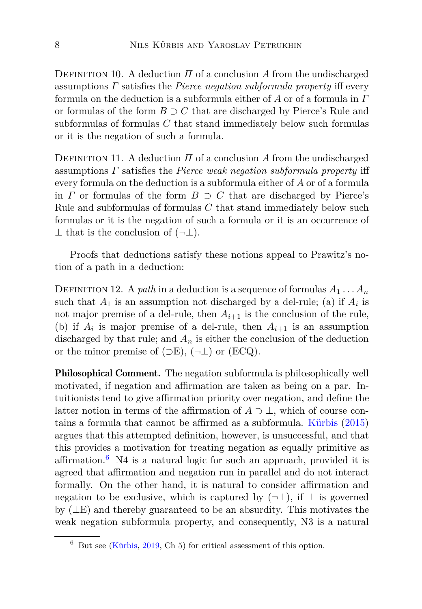DEFINITION 10. A deduction  $\Pi$  of a conclusion  $A$  from the undischarged assumptions *Γ* satisfies the *Pierce negation subformula property* iff every formula on the deduction is a subformula either of *A* or of a formula in *Γ* or formulas of the form *B* ⊃ *C* that are discharged by Pierce's Rule and subformulas of formulas *C* that stand immediately below such formulas or it is the negation of such a formula.

DEFINITION 11. A deduction  $\Pi$  of a conclusion  $A$  from the undischarged assumptions *Γ* satisfies the *Pierce weak negation subformula property* iff every formula on the deduction is a subformula either of *A* or of a formula in *Γ* or formulas of the form  $B \supset C$  that are discharged by Pierce's Rule and subformulas of formulas *C* that stand immediately below such formulas or it is the negation of such a formula or it is an occurrence of  $\perp$  that is the conclusion of  $(\neg \perp)$ .

Proofs that deductions satisfy these notions appeal to Prawitz's notion of a path in a deduction:

DEFINITION 12. A *path* in a deduction is a sequence of formulas  $A_1 \ldots A_n$ such that  $A_1$  is an assumption not discharged by a del-rule; (a) if  $A_i$  is not major premise of a del-rule, then  $A_{i+1}$  is the conclusion of the rule, (b) if  $A_i$  is major premise of a del-rule, then  $A_{i+1}$  is an assumption discharged by that rule; and  $A_n$  is either the conclusion of the deduction or the minor premise of  $(\supset E)$ ,  $(\neg \bot)$  or  $(ECQ)$ .

Philosophical Comment. The negation subformula is philosophically well motivated, if negation and affirmation are taken as being on a par. Intuitionists tend to give affirmation priority over negation, and define the latter notion in terms of the affirmation of  $A \supset \perp$ , which of course contains a formula that cannot be affirmed as a subformula. [Kürbis](#page-39-10) [\(2015](#page-39-10)) argues that this attempted definition, however, is unsuccessful, and that this provides a motivation for treating negation as equally primitive as affirmation.<sup>[6](#page-7-0)</sup> N4 is a natural logic for such an approach, provided it is agreed that affirmation and negation run in parallel and do not interact formally. On the other hand, it is natural to consider affirmation and negation to be exclusive, which is captured by  $(\neg \bot)$ , if  $\bot$  is governed by (⊥E) and thereby guaranteed to be an absurdity. This motivates the weak negation subformula property, and consequently, N3 is a natural

<span id="page-7-0"></span> $6$  But see [\(Kürbis,](#page-39-11) [2019](#page-39-11), Ch 5) for critical assessment of this option.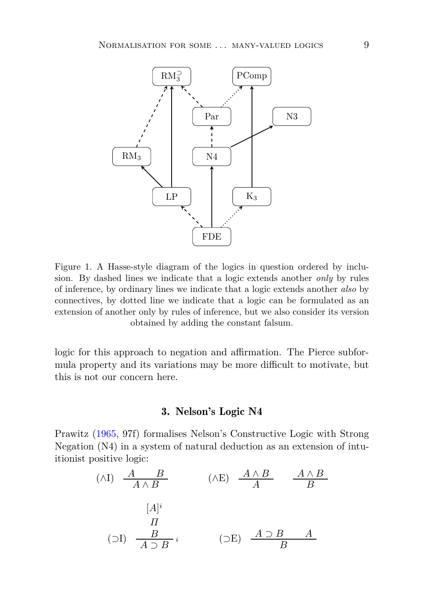

<span id="page-8-0"></span>Figure 1. A Hasse-style diagram of the logics in question ordered by inclusion. By dashed lines we indicate that a logic extends another *only* by rules of inference, by ordinary lines we indicate that a logic extends another *also* by connectives, by dotted line we indicate that a logic can be formulated as an extension of another only by rules of inference, but we also consider its version obtained by adding the constant falsum.

<span id="page-8-1"></span>logic for this approach to negation and affirmation. The Pierce subformula property and its variations may be more difficult to motivate, but this is not our concern here.

## 3. Nelson's Logic N4

Prawitz [\(1965](#page-40-12), 97f) formalises Nelson's Constructive Logic with Strong Negation (N4) in a system of natural deduction as an extension of intuitionist positive logic:

$$
(\wedge I) \quad \frac{A \quad B}{A \wedge B} \qquad (\wedge E) \quad \frac{A \wedge B}{A} \qquad \frac{A \wedge B}{B}
$$
\n
$$
[A]^i
$$
\n
$$
(J) \quad \frac{B}{A \supset B} i \qquad (\supset E) \quad \frac{A \supset B}{B} A
$$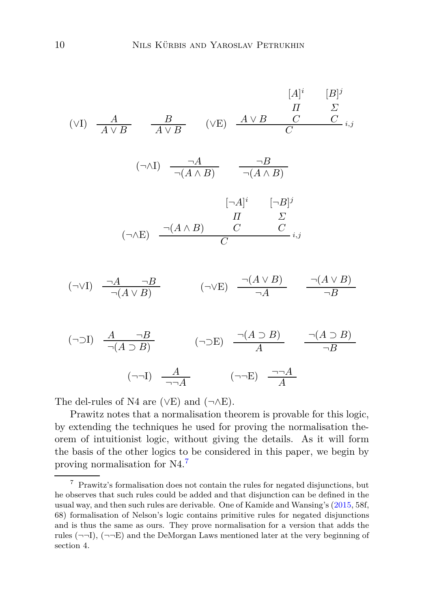$$
[A]^i \t [B]^j
$$
\n
$$
[A \vee B \qquad \frac{B}{A \vee B} \qquad (\vee E) \qquad \frac{A \vee B}{A \vee B} \qquad C \qquad C \qquad C \vdots
$$
\n
$$
(\neg \wedge I) \qquad \frac{\neg A}{\neg (A \wedge B)} \qquad \frac{\neg B}{\neg (A \wedge B)}
$$
\n
$$
[\neg A]^i \qquad [\neg B]^j
$$
\n
$$
[A \wedge B] \qquad C \qquad C \qquad C \vdots
$$
\n
$$
(\neg \vee I) \qquad \frac{\neg A}{\neg (A \vee B)} \qquad \frac{\neg B}{\neg (A \vee B)} \qquad (\neg \vee E) \qquad \frac{\neg (A \vee B)}{\neg A} \qquad \frac{\neg (A \vee B)}{\neg B}
$$
\n
$$
(A \supseteq B) \qquad (A \supseteq B) \qquad (A \supseteq B)
$$

$$
(\neg \supset I) \quad \frac{A}{\neg(A \supset B)} \qquad (\neg \supset E) \quad \frac{\neg(A \supset B)}{A} \qquad \frac{\neg(A \supset B)}{\neg B}
$$
\n
$$
(\neg \neg I) \quad \frac{A}{\neg \neg A} \qquad (\neg \neg E) \quad \frac{\neg \neg A}{A}
$$

The del-rules of N4 are ( $\vee$ E) and ( $\neg$  $\wedge$ E).

Prawitz notes that a normalisation theorem is provable for this logic, by extending the techniques he used for proving the normalisation theorem of intuitionist logic, without giving the details. As it will form the basis of the other logics to be considered in this paper, we begin by proving normalisation for N4.[7](#page-9-0)

<span id="page-9-0"></span> $^7\,$  Prawitz's formalisation does not contain the rules for negated disjunctions, but he observes that such rules could be added and that disjunction can be defined in the usual way, and then such rules are derivable. One of Kamide and Wansing's [\(2015,](#page-39-12) 58f, 68) formalisation of Nelson's logic contains primitive rules for negated disjunctions and is thus the same as ours. They prove normalisation for a version that adds the rules  $(\neg\neg I)$ ,  $(\neg\neg E)$  and the DeMorgan Laws mentioned later at the very beginning of section 4.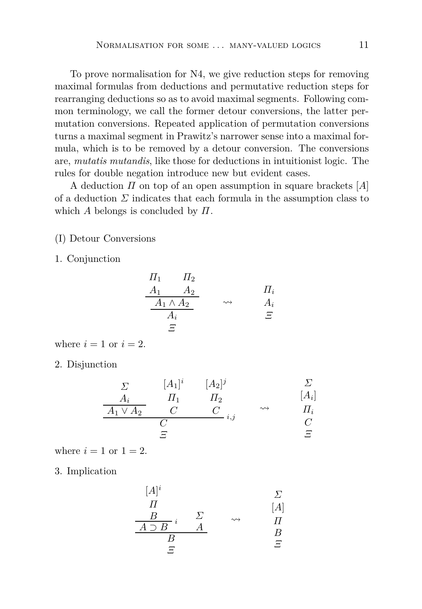To prove normalisation for N4, we give reduction steps for removing maximal formulas from deductions and permutative reduction steps for rearranging deductions so as to avoid maximal segments. Following common terminology, we call the former detour conversions, the latter permutation conversions. Repeated application of permutation conversions turns a maximal segment in Prawitz's narrower sense into a maximal formula, which is to be removed by a detour conversion. The conversions are, *mutatis mutandis*, like those for deductions in intuitionist logic. The rules for double negation introduce new but evident cases.

A deduction *Π* on top of an open assumption in square brackets [*A*] of a deduction  $\Sigma$  indicates that each formula in the assumption class to which *A* belongs is concluded by *Π*.

(I) Detour Conversions

1. Conjunction

$$
\begin{array}{ccc}\n\Pi_1 & \Pi_2 \\
\underline{A_1} & \underline{A_2} \\
\underline{A_1 \wedge A_2} & \rightsquigarrow & \underline{A_i} \\
\underline{A_i} & \Xi\n\end{array}
$$

where  $i = 1$  or  $i = 2$ .

2. Disjunction

$$
\begin{array}{ccc}\n\Sigma & [A_1]^i & [A_2]^j & \Sigma \\
\hline\nA_i & \Pi_1 & \Pi_2 & [A_i] \\
\hline\nA_1 \vee A_2 & C & C \\
\hline\nC & \Sigma & \Sigma\n\end{array}
$$

where  $i = 1$  or  $1 = 2$ .

3. Implication

$$
\begin{array}{ccc}\n[A]^i & & \Sigma \\
\varPi & & & [A] \\
\hline\nB & & \Sigma & \leadsto & \varPi\n\end{array}
$$

$$
\begin{array}{ccc}\n\frac{D}{A \supset B} i & \stackrel{\triangle}{=} & \leadsto & \Pi \\
\frac{B}{B} & & \stackrel{\triangle}{=} & \Xi\n\end{array}
$$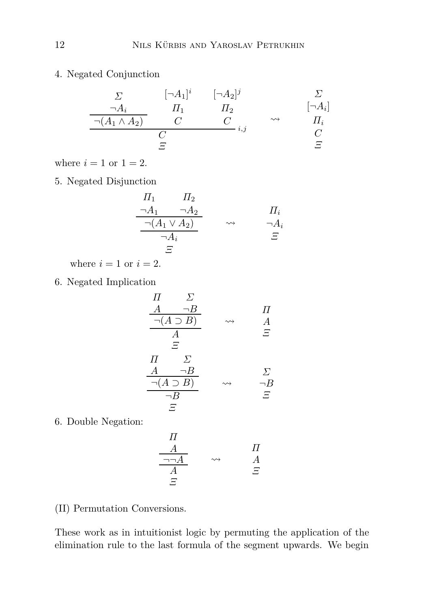4. Negated Conjunction

$$
\begin{array}{ccc}\n\Sigma & [\neg A_1]^i & [\neg A_2]^j & \Sigma \\
\hline\n\frac{\neg A_i}{\neg (A_1 \land A_2)} & C & C \\
\hline\nC & \Sigma & \n\end{array} \quad \begin{array}{ccc}\n\square & \neg A_i \\
\uparrow & \square \\
\downarrow & \n\end{array}
$$

where  $i = 1$  or  $1 = 2$ .

5. Negated Disjunction

$$
\frac{\Pi_1 \qquad \Pi_2}{\neg A_1 \qquad \neg A_2} \qquad \qquad \Pi_i
$$
\n
$$
\frac{\neg (A_1 \lor A_2)}{\neg A_i} \qquad \leadsto \qquad \frac{\Pi_i}{\neg A_i}
$$
\n
$$
\Xi
$$

where  $i = 1$  or  $i = 2$ .

6. Negated Implication

$$
\begin{array}{ccc}\n\Pi & \Sigma \\
\underline{A & \neg B} \\
\hline\n\neg(A \supset B) & \leadsto & A \\
\underline{A} & \Xi \\
\Xi & & \Sigma \\
\hline\n\Pi & \Sigma \\
\hline\n\neg(B & \neg B) & \leadsto & \neg B \\
\hline\n\neg B & & \Xi\n\end{array}
$$

6. Double Negation:

$$
\begin{array}{ccc}\n\Pi \\
\hline\n\frac{A}{\neg\neg A} & \rightsquigarrow & A \\
\hline\n\frac{A}{A} & \stackrel{\frown}{\Xi}\n\end{array}
$$

(II) Permutation Conversions.

These work as in intuitionist logic by permuting the application of the elimination rule to the last formula of the segment upwards. We begin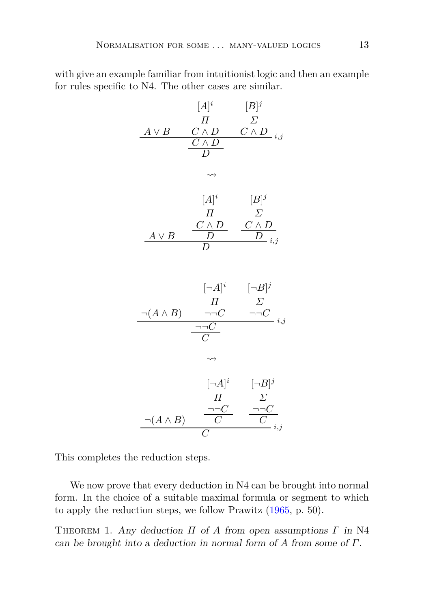with give an example familiar from intuitionist logic and then an example for rules specific to N4. The other cases are similar.

$$
[A]^{i} \t [B]^{j}
$$
\n
$$
\begin{array}{c|c}\n & A \vee B & C \wedge D & C \wedge D \\
 & C \wedge D & C \wedge D \\
 & \searrow \\
 & \searrow \\
 & [A]^{i} & [B]^{j} \\
 & H & \Sigma \\
 & \searrow \\
 & A \vee B & D & D \\
 & D & \searrow \\
 & D & \searrow \\
 & \searrow \\
 & [A]^{i} & [B]^{j} \\
 & H & \Sigma \\
 & \searrow \\
 & [A \wedge B) & \neg C & \neg C \\
 & \searrow \\
 & \searrow \\
 & [A]^{i} & [B]^{j} \\
 & H & \Sigma \\
 & \searrow \\
 & [A \wedge B) & \overline{C} & \overline{C} \\
 & \searrow \\
 & [A \wedge B) & \overline{C} & \overline{C} \\
 & \searrow \\
 & [A \wedge B) & \overline{C} & \overline{C} \\
 & \searrow \\
 & [A \wedge B) & \overline{C} & \overline{C} \\
 & \searrow \\
 & [A \wedge B) & \overline{C} & \overline{C} \\
 & \searrow \\
 & [A \wedge B) & \overline{C} & \overline{C} \\
 & \searrow \\
 & [A \wedge B) & \overline{C} & \overline{C} \\
 & \searrow \\
 & [A \wedge B) & \overline{C} & \overline{C} \\
 & \searrow \\
 & [A \wedge B) & \overline{C} & \overline{C} \\
 & \searrow \\
 & [A \wedge B) & \overline{C} & \overline{C} \\
 & \searrow \\
 & [A \wedge B) & \overline{C} & \overline{C} \\
 & \searrow \\
 & [A \wedge B) & \overline{C} & \overline{C} \\
 & \searrow \\
 & [A \wedge B) & \overline{C} & \overline{C} \\
 & \searrow \\
 & [A \wedge B) & \overline{C} & \overline{C} \\
 & \searrow \\
 & [A \wedge B) & \overline{C} & \overline{C} \\
 & \searrow \\
 & [A \wedge B) & \overline{C} & \overline{C} \\
 & \searrow \\
 & [A \wedge B) & \overline{C} & \overline{C} \\
 & \searrow \\
 & [A \wedge B) & \overline{C} & \overline{C} \\
 & \searrow \\
 & [A \wedge B) & \overline{C} & \overline{C} \\
 & \searrow \\
 & [A \wedge B) & \overline{C} & \over
$$

This completes the reduction steps.

We now prove that every deduction in N4 can be brought into normal form. In the choice of a suitable maximal formula or segment to which to apply the reduction steps, we follow Prawitz [\(1965](#page-40-12), p. 50).

 $\overline{C}$ 

Theorem 1. Any deduction *Π* of *A* from open assumptions *Γ* in N4 can be brought into a deduction in normal form of *A* from some of *Γ*.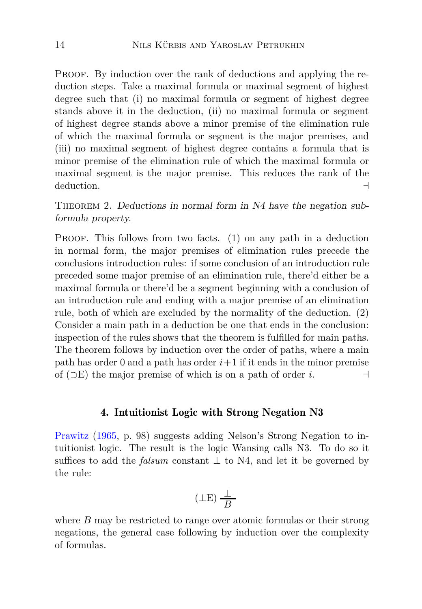PROOF. By induction over the rank of deductions and applying the reduction steps. Take a maximal formula or maximal segment of highest degree such that (i) no maximal formula or segment of highest degree stands above it in the deduction, (ii) no maximal formula or segment of highest degree stands above a minor premise of the elimination rule of which the maximal formula or segment is the major premises, and (iii) no maximal segment of highest degree contains a formula that is minor premise of the elimination rule of which the maximal formula or maximal segment is the major premise. This reduces the rank of the deduction. ⊣

<span id="page-13-1"></span>THEOREM 2. Deductions in normal form in N4 have the negation subformula property.

PROOF. This follows from two facts. (1) on any path in a deduction in normal form, the major premises of elimination rules precede the conclusions introduction rules: if some conclusion of an introduction rule preceded some major premise of an elimination rule, there'd either be a maximal formula or there'd be a segment beginning with a conclusion of an introduction rule and ending with a major premise of an elimination rule, both of which are excluded by the normality of the deduction. (2) Consider a main path in a deduction be one that ends in the conclusion: inspection of the rules shows that the theorem is fulfilled for main paths. The theorem follows by induction over the order of paths, where a main path has order 0 and a path has order  $i+1$  if it ends in the minor premise of (⊃E) the major premise of which is on a path of order *i*. ⊣

### 4. Intuitionist Logic with Strong Negation N3

<span id="page-13-0"></span>Prawitz [\(1965,](#page-40-12) p. 98) suggests adding Nelson's Strong Negation to intuitionist logic. The result is the logic Wansing calls N3. To do so it suffices to add the *falsum* constant  $\perp$  to N4, and let it be governed by the rule:

$$
(\perp \to) \frac{\perp}{B}
$$

where *B* may be restricted to range over atomic formulas or their strong negations, the general case following by induction over the complexity of formulas.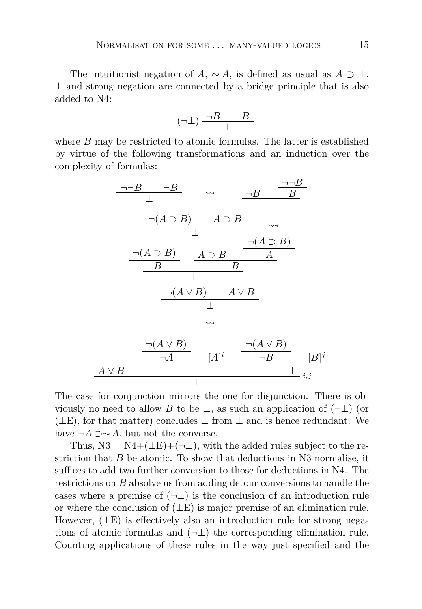The intuitionist negation of *A*,  $\sim A$ , is defined as usual as  $A \supset \perp$ .  $\perp$  and strong negation are connected by a bridge principle that is also added to N4:

$$
(\neg \bot) \, \frac{\neg B \qquad B}{\bot}
$$

where *B* may be restricted to atomic formulas. The latter is established by virtue of the following transformations and an induction over the complexity of formulas:

$$
\frac{\neg\neg B \quad \neg B}{\perp} \quad \leadsto \quad \frac{\neg B \quad \frac{\neg B}{B}}{\perp}
$$
\n
$$
\frac{\neg(A \supset B) \quad A \supset B}{\perp} \quad \leadsto
$$
\n
$$
\frac{\neg(A \supset B) \quad A \supset B}{\neg B} \quad \frac{A \supset B}{A}
$$
\n
$$
\frac{\neg(A \vee B) \quad A \vee B}{\perp}
$$
\n
$$
\downarrow
$$
\n
$$
\frac{\neg(A \vee B) \quad A \vee B}{\perp}
$$
\n
$$
\frac{\neg(A \vee B)}{\neg A} \quad [A]^i \quad \frac{\neg(A \vee B)}{\neg B} \quad [B]
$$
\n
$$
\frac{A \vee B}{\perp} \quad \frac{\neg(A \vee B)}{\perp} \quad i,j
$$

The case for conjunction mirrors the one for disjunction. There is obviously no need to allow *B* to be  $\perp$ , as such an application of  $(\neg \perp)$  (or  $(µE)$ , for that matter) concludes  $µ$  from  $µ$  and is hence redundant. We have  $\neg A \supset \sim A$ , but not the converse.

⊥

⊥

Thus,  $N3 = N4 + (\perp E) + (\neg \perp)$ , with the added rules subject to the restriction that *B* be atomic. To show that deductions in N3 normalise, it suffices to add two further conversion to those for deductions in N4. The restrictions on *B* absolve us from adding detour conversions to handle the cases where a premise of  $(\neg \bot)$  is the conclusion of an introduction rule or where the conclusion of  $(LE)$  is major premise of an elimination rule. However,  $(\perp E)$  is effectively also an introduction rule for strong negations of atomic formulas and  $(\neg \bot)$  the corresponding elimination rule. Counting applications of these rules in the way just specified and the

*j*

⊥ *i,j*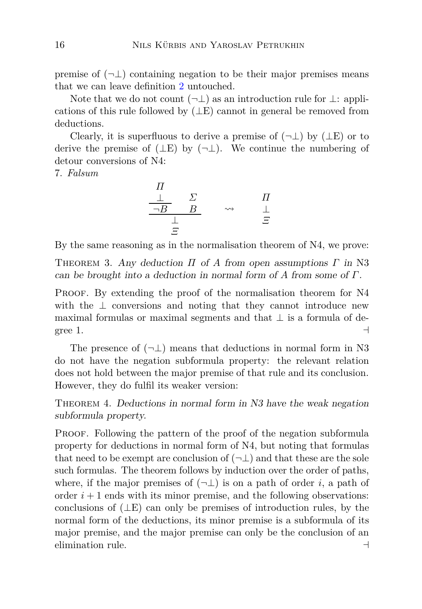premise of  $(\neg \bot)$  containing negation to be their major premises means that we can leave definition [2](#page-5-0) untouched.

Note that we do not count  $(\neg \bot)$  as an introduction rule for  $\bot$ : applications of this rule followed by  $(LE)$  cannot in general be removed from deductions.

Clearly, it is superfluous to derive a premise of  $(\neg \bot)$  by  $(\bot E)$  or to derive the premise of  $(µE)$  by  $(¬⊥)$ . We continue the numbering of detour conversions of N4:

7. *Falsum*

$$
\begin{array}{ccc}\n\Pi & & \Sigma & & \Pi \\
\frac{\bot}{\neg B} & B & & \leadsto & \frac{\bot}{\bot} \\
\frac{\bot}{\varXi} & & & \stackrel{\varphi}{\to} & \frac{\bot}{\varXi}\n\end{array}
$$

By the same reasoning as in the normalisation theorem of N4, we prove:

Theorem 3. Any deduction *Π* of *A* from open assumptions *Γ* in N3 can be brought into a deduction in normal form of *A* from some of *Γ*.

PROOF. By extending the proof of the normalisation theorem for N4 with the  $\perp$  conversions and noting that they cannot introduce new maximal formulas or maximal segments and that  $\perp$  is a formula of degree 1.  $\Box$ 

The presence of  $(\neg \perp)$  means that deductions in normal form in N3 do not have the negation subformula property: the relevant relation does not hold between the major premise of that rule and its conclusion. However, they do fulfil its weaker version:

<span id="page-15-0"></span>Theorem 4. Deductions in normal form in N3 have the weak negation subformula property.

PROOF. Following the pattern of the proof of the negation subformula property for deductions in normal form of N4, but noting that formulas that need to be exempt are conclusion of  $(\neg \bot)$  and that these are the sole such formulas. The theorem follows by induction over the order of paths, where, if the major premises of  $(\neg \bot)$  is on a path of order *i*, a path of order  $i+1$  ends with its minor premise, and the following observations: conclusions of  $(LE)$  can only be premises of introduction rules, by the normal form of the deductions, its minor premise is a subformula of its major premise, and the major premise can only be the conclusion of an elimination rule. ⊣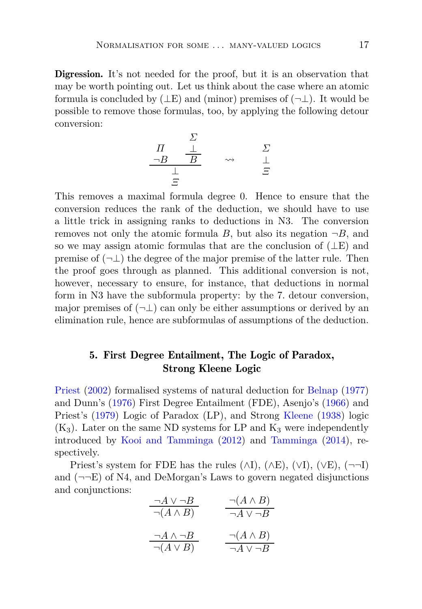Digression. It's not needed for the proof, but it is an observation that may be worth pointing out. Let us think about the case where an atomic formula is concluded by  $(\perp E)$  and (minor) premises of  $(\neg \perp)$ . It would be possible to remove those formulas, too, by applying the following detour conversion:

$$
\begin{array}{ccc}\n & \Sigma & & \Sigma \\
\frac{\neg B & \frac{\bot}{B}} & & \leadsto & \frac{\Sigma}{\bot} \\
\frac{\bot}{\Xi} & & & \stackrel{\sim}{\Xi}\n\end{array}
$$

This removes a maximal formula degree 0. Hence to ensure that the conversion reduces the rank of the deduction, we should have to use a little trick in assigning ranks to deductions in N3. The conversion removes not only the atomic formula *B*, but also its negation  $\neg B$ , and so we may assign atomic formulas that are the conclusion of  $(LE)$  and premise of  $(\neg \bot)$  the degree of the major premise of the latter rule. Then the proof goes through as planned. This additional conversion is not, however, necessary to ensure, for instance, that deductions in normal form in N3 have the subformula property: by the 7. detour conversion, major premises of  $(\neg \bot)$  can only be either assumptions or derived by an elimination rule, hence are subformulas of assumptions of the deduction.

## <span id="page-16-0"></span>5. First Degree Entailment, The Logic of Paradox, Strong Kleene Logic

Priest [\(2002](#page-40-1)) formalised systems of natural deduction for [Belnap](#page-38-10) [\(1977](#page-38-10)) and Dunn's [\(1976](#page-38-11)) First Degree Entailment (FDE), Asenjo's [\(1966](#page-37-0)) and Priest's [\(1979](#page-40-0)) Logic of Paradox (LP), and Strong [Kleene](#page-39-5) [\(1938](#page-39-5)) logic  $(K_3)$ . Later on the same ND systems for LP and  $K_3$  were independently introduced by [Kooi and Tamminga](#page-39-2) [\(2012\)](#page-39-2) and [Tamminga](#page-40-10) [\(2014](#page-40-10)), respectively.

Priest's system for FDE has the rules  $(\wedge I)$ ,  $(\wedge E)$ ,  $(\vee I)$ ,  $(\vee E)$ ,  $(\neg \neg I)$ and  $(\neg\neg E)$  of N4, and DeMorgan's Laws to govern negated disjunctions and conjunctions:

| $\neg A \vee \neg B$   | $\neg(A \land B)$    |
|------------------------|----------------------|
| $\neg(A \land B)$      | $\neg A \vee \neg B$ |
|                        |                      |
| $\neg A \wedge \neg B$ | $\neg(A \land B)$    |
| $\neg(A \vee B)$       | $\neg A \vee \neg B$ |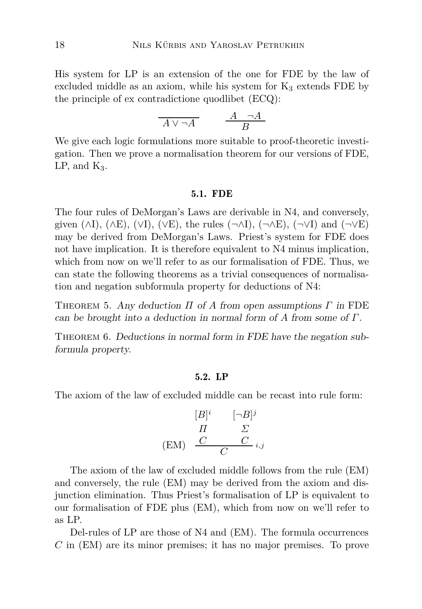His system for LP is an extension of the one for FDE by the law of excluded middle as an axiom, while his system for  $K_3$  extends FDE by the principle of ex contradictione quodlibet (ECQ):

$$
\overline{A \vee \neg A} \qquad \frac{A \neg A}{B}
$$

We give each logic formulations more suitable to proof-theoretic investigation. Then we prove a normalisation theorem for our versions of FDE,  $LP$ , and  $K_3$ .

#### 5.1. FDE

The four rules of DeMorgan's Laws are derivable in N4, and conversely, given  $(\wedge I)$ ,  $(\wedge E)$ ,  $(\vee I)$ ,  $(\vee E)$ , the rules  $(\neg \wedge I)$ ,  $(\neg \wedge E)$ ,  $(\neg \vee I)$  and  $(\neg \vee E)$ may be derived from DeMorgan's Laws. Priest's system for FDE does not have implication. It is therefore equivalent to N4 minus implication, which from now on we'll refer to as our formalisation of FDE. Thus, we can state the following theorems as a trivial consequences of normalisation and negation subformula property for deductions of N4:

<span id="page-17-0"></span>Theorem 5. Any deduction *Π* of *A* from open assumptions *Γ* in FDE can be brought into a deduction in normal form of *A* from some of *Γ*.

THEOREM 6. Deductions in normal form in FDE have the negation subformula property.

### 5.2. LP

The axiom of the law of excluded middle can be recast into rule form:

$$
\begin{array}{ccc}\n[B]^i & [-B]^j \\
\hline\nH & \Sigma \\
\text{(EM)} & \frac{C}{C} & \frac{C}{i,j}\n\end{array}
$$

The axiom of the law of excluded middle follows from the rule (EM) and conversely, the rule (EM) may be derived from the axiom and disjunction elimination. Thus Priest's formalisation of LP is equivalent to our formalisation of FDE plus (EM), which from now on we'll refer to as LP.

Del-rules of LP are those of N4 and (EM). The formula occurrences *C* in (EM) are its minor premises; it has no major premises. To prove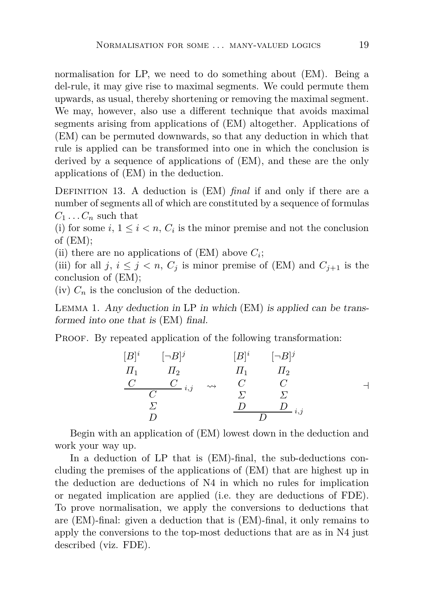normalisation for LP, we need to do something about (EM). Being a del-rule, it may give rise to maximal segments. We could permute them upwards, as usual, thereby shortening or removing the maximal segment. We may, however, also use a different technique that avoids maximal segments arising from applications of (EM) altogether. Applications of (EM) can be permuted downwards, so that any deduction in which that rule is applied can be transformed into one in which the conclusion is derived by a sequence of applications of (EM), and these are the only applications of (EM) in the deduction.

DEFINITION 13. A deduction is (EM) *final* if and only if there are a number of segments all of which are constituted by a sequence of formulas  $C_1 \ldots C_n$  such that

(i) for some  $i, 1 \leq i \leq n$ ,  $C_i$  is the minor premise and not the conclusion of (EM);

(ii) there are no applications of  $(EM)$  above  $C_i$ ;

(iii) for all *j*,  $i \leq j \leq n$ ,  $C_j$  is minor premise of (EM) and  $C_{j+1}$  is the conclusion of (EM);

 $(iv)$   $C_n$  is the conclusion of the deduction.

Lemma 1. Any deduction in LP in which (EM) is applied can be transformed into one that is (EM) final.

PROOF. By repeated application of the following transformation:

$$
[B]^{i} \qquad [-B]^{j} \qquad [B]^{i} \qquad [-B]^{j}
$$
  
\n
$$
\begin{array}{ccc}\nI_{1} & \Pi_{2} & \Pi_{1} & \Pi_{2} \\
\frac{C}{C} & \frac{C}{i,j} & \leadsto & \frac{C}{C} & \frac{C}{\Sigma} \\
\frac{\Sigma}{D} & \frac{D}{D} & \frac{D}{i,j}\n\end{array}
$$

Begin with an application of (EM) lowest down in the deduction and work your way up.

In a deduction of LP that is (EM)-final, the sub-deductions concluding the premises of the applications of (EM) that are highest up in the deduction are deductions of N4 in which no rules for implication or negated implication are applied (i.e. they are deductions of FDE). To prove normalisation, we apply the conversions to deductions that are (EM)-final: given a deduction that is (EM)-final, it only remains to apply the conversions to the top-most deductions that are as in N4 just described (viz. FDE).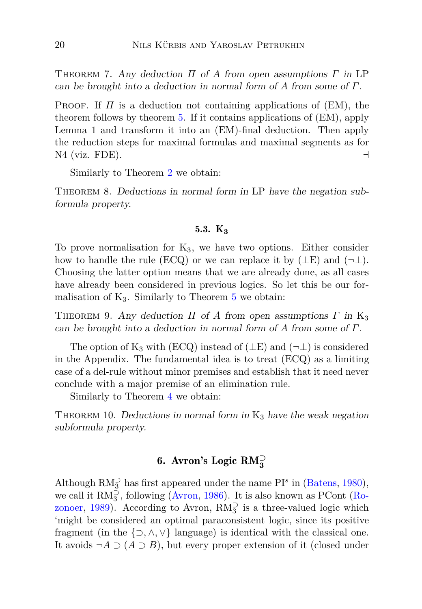Theorem 7. Any deduction *Π* of *A* from open assumptions *Γ* in LP can be brought into a deduction in normal form of *A* from some of *Γ*.

PROOF. If  $\Pi$  is a deduction not containing applications of (EM), the theorem follows by theorem [5.](#page-17-0) If it contains applications of (EM), apply Lemma 1 and transform it into an (EM)-final deduction. Then apply the reduction steps for maximal formulas and maximal segments as for N4 (viz. FDE).  $\Box$ 

Similarly to Theorem [2](#page-13-1) we obtain:

<span id="page-19-1"></span>THEOREM 8. Deductions in normal form in LP have the negation subformula property.

### 5.3. K<sub>3</sub>

To prove normalisation for  $K_3$ , we have two options. Either consider how to handle the rule (ECQ) or we can replace it by  $(\perp E)$  and  $(\neg \perp)$ . Choosing the latter option means that we are already done, as all cases have already been considered in previous logics. So let this be our formalisation of  $K_3$ . Similarly to Theorem [5](#page-17-0) we obtain:

THEOREM 9. Any deduction  $\Pi$  of  $A$  from open assumptions  $\Gamma$  in K<sub>3</sub> can be brought into a deduction in normal form of *A* from some of *Γ*.

The option of K<sub>3</sub> with (ECQ) instead of ( $\perp$ E) and ( $\neg$  $\perp$ ) is considered in the Appendix. The fundamental idea is to treat (ECQ) as a limiting case of a del-rule without minor premises and establish that it need never conclude with a major premise of an elimination rule.

Similarly to Theorem [4](#page-15-0) we obtain:

<span id="page-19-0"></span>THEOREM 10. Deductions in normal form in  $K_3$  have the weak negation subformula property.

# 6. Avron's Logic RM**<sup>⊃</sup> 3**

Although  $RM_3^{\supset}$  has first appeared under the name  $PI^s$  in [\(Batens,](#page-38-5) [1980](#page-38-5)), we call it  $RM_3^{\supset}$ , following [\(Avron](#page-38-6), [1986](#page-38-6)[\). It is also known as PCont \(](#page-40-4)Ro-zonoer, [1989\)](#page-40-4). According to Avron,  $RM_3^{\supset}$  is a three-valued logic which 'might be considered an optimal paraconsistent logic, since its positive fragment (in the  $\{\supset, \wedge, \vee\}$  language) is identical with the classical one. It avoids  $\neg A \supset (A \supset B)$ , but every proper extension of it (closed under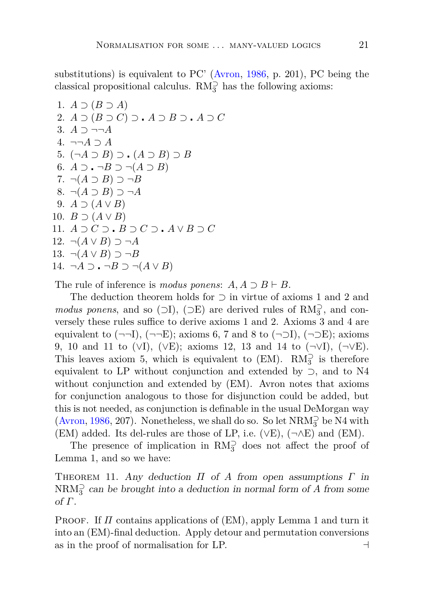substitutions) is equivalent to PC' [\(Avron,](#page-38-6) [1986,](#page-38-6) p. 201), PC being the classical propositional calculus.  $\mathrm{RM}_3^\supset$  has the following axioms:

1. 
$$
A \supset (B \supset A)
$$
  
\n2.  $A \supset (B \supset C) \supset A \supset B \supset A \supset C$   
\n3.  $A \supset \neg\neg A$   
\n4.  $\neg\neg A \supset A$   
\n5.  $(\neg A \supset B) \supset (A \supset B) \supset B$   
\n6.  $A \supset \neg B \supset \neg (A \supset B)$   
\n7.  $\neg (A \supset B) \supset \neg B$   
\n8.  $\neg (A \supset B) \supset \neg A$   
\n9.  $A \supset (A \vee B)$   
\n10.  $B \supset (A \vee B)$   
\n11.  $A \supset C \supset B \supset C \supset A \vee B \supset C$   
\n12.  $\neg (A \vee B) \supset \neg A$   
\n13.  $\neg (A \vee B) \supset \neg B$   
\n14.  $\neg A \supset \neg B \supset \neg (A \vee B)$ 

The rule of inference is *modus ponens*:  $A, A \supset B \vdash B$ .

The deduction theorem holds for ⊃ in virtue of axioms 1 and 2 and *modus ponens*, and so ( $\supset$ I), ( $\supset$ E) are derived rules of RM<sub>3</sub><sup>2</sup>, and conversely these rules suffice to derive axioms 1 and 2. Axioms 3 and 4 are equivalent to  $(\neg\neg I), (\neg\neg E)$ ; axioms 6, 7 and 8 to  $(\neg\neg I), (\neg\neg E)$ ; axioms 9, 10 and 11 to (∨I), (∨E); axioms 12, 13 and 14 to (¬∨I), (¬∨E). This leaves axiom 5, which is equivalent to  $(EM)$ .  $RM_3^{\supset}$  is therefore equivalent to LP without conjunction and extended by ⊃, and to N4 without conjunction and extended by (EM). Avron notes that axioms for conjunction analogous to those for disjunction could be added, but this is not needed, as conjunction is definable in the usual DeMorgan way [\(Avron](#page-38-6), [1986,](#page-38-6) 207). Nonetheless, we shall do so. So let  $\text{NRM}_3^{\supset}$  be N4 with (EM) added. Its del-rules are those of LP, i.e.  $(\vee E)$ ,  $(\neg \wedge E)$  and  $(EM)$ .

<span id="page-20-0"></span>The presence of implication in  $RM_3^{\supset}$  does not affect the proof of Lemma 1, and so we have:

Theorem 11. Any deduction *Π* of *A* from open assumptions *Γ* in  $\text{NRM}_3^{\supset}$  can be brought into a deduction in normal form of *A* from some of *Γ*.

Proof. If *Π* contains applications of (EM), apply Lemma 1 and turn it into an (EM)-final deduction. Apply detour and permutation conversions as in the proof of normalisation for LP.  $\Box$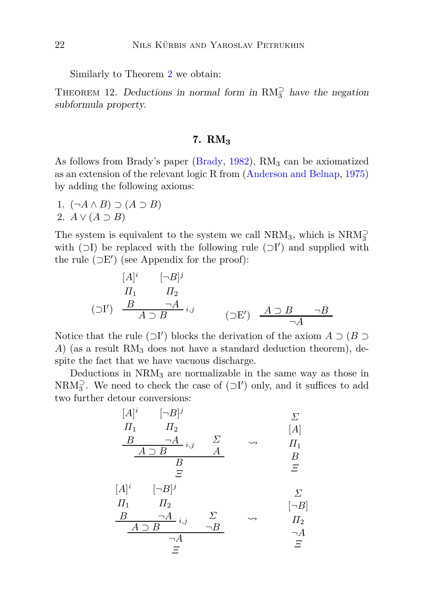Similarly to Theorem [2](#page-13-1) we obtain:

<span id="page-21-0"></span>THEOREM 12. Deductions in normal form in  $RM_3^{\supset}$  have the negation subformula property.

## 7. RM**<sup>3</sup>**

As follows from Brady's paper [\(Brady,](#page-38-12)  $1982$ ), RM<sub>3</sub> can be axiomatized as an extension of the relevant logic R from [\(Anderson and Belnap,](#page-37-3) [1975](#page-37-3)) by adding the following axioms:

1. (¬*A* ∧ *B*) ⊃ (*A* ⊃ *B*) 2.  $A \vee (A \supset B)$ 

The system is equivalent to the system we call  $\mathrm{NRM}_3,$  which is  $\mathrm{NRM}_3^{\supset}$ with  $(□I)$  be replaced with the following rule  $(□I')$  and supplied with the rule  $(\supset E')$  (see Appendix for the proof):

$$
[A]^{i} \qquad [\neg B]^{j}
$$
  
\n
$$
\Pi_{1} \qquad \Pi_{2}
$$
  
\n
$$
(\supset I') \qquad \frac{B}{A \supset B} \qquad \qquad \neg A \qquad \qquad (\supset E') \qquad \frac{A \supset B}{\neg A} \qquad \neg B
$$

Notice that the rule  $(\supset I')$  blocks the derivation of the axiom  $A \supset (B \supset I')$ *A*) (as a result  $RM_3$  does not have a standard deduction theorem), despite the fact that we have vacuous discharge.

Deductions in  $NRM<sub>3</sub>$  are normalizable in the same way as those in NRM<sub>3</sub><sup>2</sup>. We need to check the case of  $(\supset I')$  only, and it suffices to add two further detour conversions:

[*A*] *i Π*<sup>1</sup> *B* [¬*B*] *j Π*<sup>2</sup> ¬*A i,j A* ⊃ *B Σ A B Ξ Σ* [*A*] *Π*<sup>1</sup> *B Ξ* [*A*] *i Π*<sup>1</sup> *B* [¬*B*] *j Π*<sup>2</sup> ¬*A i,j A* ⊃ *B Σ* ¬*B* ¬*A Ξ Σ* [¬*B*] *Π*<sup>2</sup> ¬*A Ξ*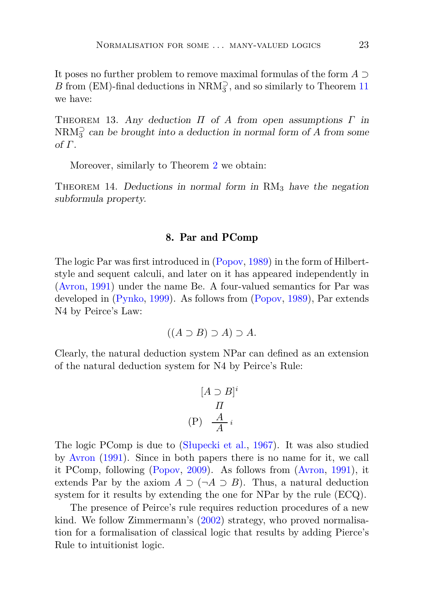It poses no further problem to remove maximal formulas of the form *A* ⊃  $B$  from (EM)-final deductions in  $\mathrm{NRM}_3^{\supset},$  and so similarly to Theorem  $11$ we have:

Theorem 13. Any deduction *Π* of *A* from open assumptions *Γ* in  $\text{NRM}_3^{\supset}$  can be brought into a deduction in normal form of *A* from some of *Γ*.

Moreover, similarly to Theorem [2](#page-13-1) we obtain:

<span id="page-22-0"></span>THEOREM 14. Deductions in normal form in  $\text{RM}_3$  have the negation subformula property.

### 8. Par and PComp

The logic Par was first introduced in [\(Popov](#page-40-6), [1989\)](#page-40-6) in the form of Hilbertstyle and sequent calculi, and later on it has appeared independently in [\(Avron](#page-38-0), [1991\)](#page-38-0) under the name Be. A four-valued semantics for Par was developed in [\(Pynko,](#page-40-9) [1999\)](#page-40-9). As follows from [\(Popov](#page-40-6), [1989\)](#page-40-6), Par extends N4 by Peirce's Law:

$$
((A \supset B) \supset A) \supset A.
$$

Clearly, the natural deduction system NPar can defined as an extension of the natural deduction system for N4 by Peirce's Rule:

$$
[A \supset B]^i
$$

$$
\Pi
$$

$$
(P) \quad \frac{A}{A} i
$$

The logic PComp is due to [\(Słupecki et al.,](#page-40-7) [1967\)](#page-40-7). It was also studied by [Avron](#page-38-0) [\(1991\)](#page-38-0). Since in both papers there is no name for it, we call it PComp, following [\(Popov](#page-40-8), [2009\)](#page-40-8). As follows from [\(Avron](#page-38-0), [1991\)](#page-38-0), it extends Par by the axiom  $A \supset (\neg A \supset B)$ . Thus, a natural deduction system for it results by extending the one for NPar by the rule (ECQ).

The presence of Peirce's rule requires reduction procedures of a new kind. We follow Zimmermann's [\(2002](#page-41-3)) strategy, who proved normalisation for a formalisation of classical logic that results by adding Pierce's Rule to intuitionist logic.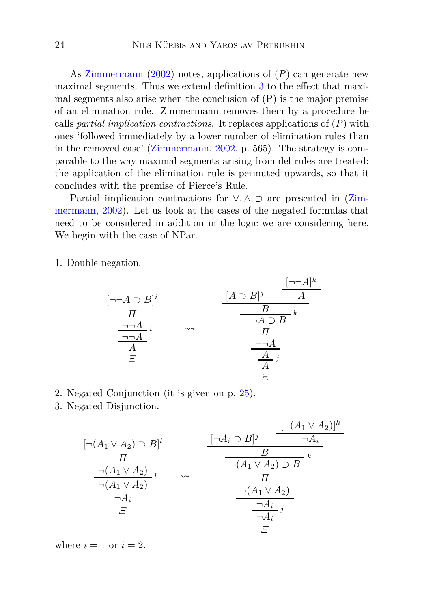As [Zimmermann](#page-41-3) [\(2002](#page-41-3)) notes, applications of (*P*) can generate new maximal segments. Thus we extend definition [3](#page-5-1) to the effect that maximal segments also arise when the conclusion of  $(P)$  is the major premise of an elimination rule. Zimmermann removes them by a procedure he calls *partial implication contractions*. It replaces applications of (*P*) with ones 'followed immediately by a lower number of elimination rules than in the removed case' [\(Zimmermann](#page-41-3), [2002,](#page-41-3) p. 565). The strategy is comparable to the way maximal segments arising from del-rules are treated: the application of the elimination rule is permuted upwards, so that it concludes with the premise of Pierce's Rule.

Parti[al implication contractions for](#page-41-3) ∨*,* ∧*,* ⊃ are presented in (Zimmermann, [2002\)](#page-41-3). Let us look at the cases of the negated formulas that need to be considered in addition in the logic we are considering here. We begin with the case of NPar.

1. Double negation.

$$
[\neg\neg A \supset B]^{i} \qquad \qquad \underbrace{[A \supset B]^{j} \qquad A}_{\neg\neg A \supset B}^{[\neg\neg A]^{k}}_{\text{A}} \\
\underbrace{\frac{\neg\neg A}{\neg A}^{i}}_{\varXi}^{i} \qquad \leadsto \qquad \underbrace{\frac{[A \supset B]^{j} \qquad A}{A}}_{\text{II}}^{I} \\
\underbrace{\frac{\neg\neg A}{\neg A}}_{\varXi}^{j} \\
\varXi
$$

- 2. Negated Conjunction (it is given on p. [25\)](#page-22-0).
- 3. Negated Disjunction.

$$
[\neg(A_1 \lor A_2) \supset B]^l \qquad \qquad \underbrace{[\neg(A_1 \lor A_2)]^k}_{\neg(A_1 \lor A_2)}]^{l}
$$
\n
$$
\underbrace{\frac{[\neg(A_1 \lor A_2)]^k}{\neg(A_1 \lor A_2)} \lor \qquad \qquad \frac{B}{\neg(A_1 \lor A_2) \supset B} \land k}_{\neg(A_1 \lor A_2)}]
$$
\n
$$
\underbrace{\frac{[\neg(A_1 \lor A_2)]^k}{\neg(A_1 \lor A_2) \supset B}}_{\neg(A_1 \lor A_2)} \land \underbrace{\frac{[\neg(A_1 \lor A_2)]^k}{\neg(A_1 \lor A_2) \supset B}}_{\neg(A_1 \lor A_2)}
$$
\n
$$
\underbrace{\frac{[\neg(A_1 \lor A_2)]^k}{\neg(A_1 \lor A_2) \supset B}}_{\neg(A_1 \lor A_2)}
$$
\n
$$
\underbrace{\frac{[\neg(A_1 \lor A_2)]^k}{\neg(A_1 \lor A_2) \supset B}}_{\neg(A_1 \lor A_2)}
$$
\n
$$
\underbrace{\frac{[\neg(A_1 \lor A_2)]^k}{\neg(A_1 \lor A_2) \supset B}}_{\neg(A_1 \lor A_2)}
$$
\n
$$
\underbrace{\frac{[\neg(A_1 \lor A_2)]^k}{\neg(A_1 \lor A_2) \supset B}}_{\neg(A_1 \lor A_2)}
$$

where  $i = 1$  or  $i = 2$ .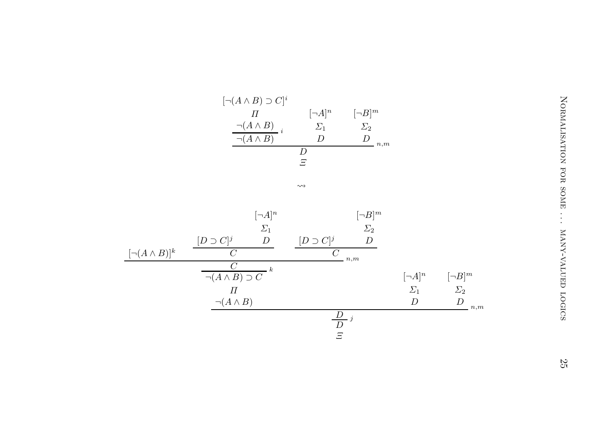| ר $(A \wedge B) \supset C ^i$                                        |  |
|----------------------------------------------------------------------|--|
| [¬B] <sup>m</sup><br>[¬A] <sup>n</sup><br>$\boldsymbol{\mathcal{H}}$ |  |
| $\neg(A \land B)$<br>$\Sigma_1$<br>$\sum_{2}$                        |  |
| $\neg (A \land B)$<br>,,<br>,,<br>n,m                                |  |
| , ו                                                                  |  |
| 드                                                                    |  |

|                        | $[\neg(A \land B) \supset C]^i$     |                                     |                                   |                  |                  |                        |
|------------------------|-------------------------------------|-------------------------------------|-----------------------------------|------------------|------------------|------------------------|
|                        | $\varPi$                            | $[\neg A]^n$                        | $[\neg B]^m$                      |                  |                  |                        |
|                        | $\neg(A \wedge B)_{i}$              | $\varSigma_1$                       | $\varSigma_2$                     |                  |                  |                        |
|                        | $\neg(A \wedge B)$                  | $\boldsymbol{D}$                    | $\boldsymbol{D}$<br>$n,m$         |                  |                  |                        |
|                        |                                     | $\boldsymbol{D}$                    |                                   |                  |                  |                        |
|                        |                                     | $\Xi$                               |                                   |                  |                  |                        |
|                        |                                     | $\rightsquigarrow$                  |                                   |                  |                  |                        |
|                        |                                     |                                     |                                   |                  |                  | NORMALISATION FOR SOME |
|                        |                                     |                                     |                                   |                  |                  |                        |
|                        | $[\neg A]^n$                        |                                     | $[\neg B]^m$                      |                  |                  |                        |
|                        | $\varSigma_1$<br>$\boldsymbol{D}$   |                                     | $\varSigma_2$<br>$\boldsymbol{D}$ |                  |                  |                        |
| $[\neg(A \wedge B)]^k$ | $[D\supset C]^j$<br>$\overline{C}$  | $[D \supset C]^j$<br>$\overline{C}$ |                                   |                  |                  |                        |
|                        | $\overline{C}$                      |                                     | n,m                               |                  |                  |                        |
|                        | $-k$<br>$\neg(A \land B) \supset C$ |                                     |                                   | $[\neg A]^n$     | $[\neg B]^m$     | MANY-VALUED LOGICS     |
|                        | $\varPi$                            |                                     |                                   | $\varSigma_1$    | $\varSigma_2$    |                        |
|                        | $\neg (A \land B)$                  |                                     |                                   | $\boldsymbol{D}$ | $\boldsymbol{D}$ |                        |
|                        |                                     |                                     |                                   |                  | n,m              |                        |
|                        |                                     | $rac{D}{D}j$<br>$rac{D}{E}$         |                                   |                  |                  |                        |
|                        |                                     |                                     |                                   |                  |                  |                        |
|                        |                                     |                                     |                                   |                  |                  |                        |
|                        |                                     |                                     |                                   |                  |                  | $\mathbb{Z}^2$         |

Normalisation for some . . . many-valued logics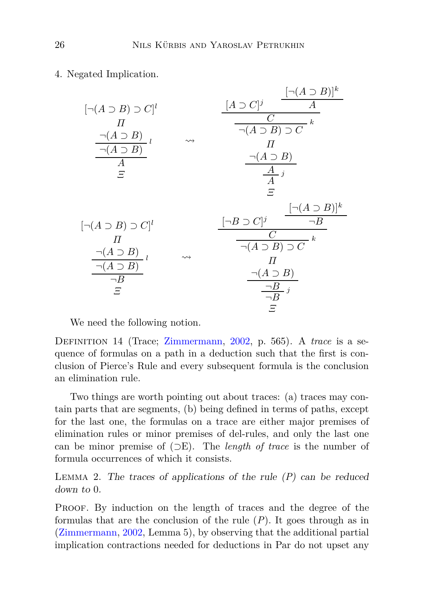4. Negated Implication.

| $[\neg(A \supset B) \supset C]^l$<br>$\boldsymbol{\varPi}$<br>$\neg(A \supset B)_{l}$<br>$\neg(A \supset B)$<br>A<br>Ξ |                    | $\lbrack\neg(A\supset B)\rbrack^k$<br>$[A \supset C]^j$<br>A<br>$\boldsymbol{k}$<br>$\neg(A \supset B) \supset C$<br>П<br>$\neg(A \supset B)$<br>$\frac{\overline{A}}{A}$ <i>i</i><br>F |
|------------------------------------------------------------------------------------------------------------------------|--------------------|-----------------------------------------------------------------------------------------------------------------------------------------------------------------------------------------|
| $\lbrack\neg(A\supset B)\supset C]^l$<br>П<br>$\neg(A \supset B)$<br>$\neg(A \supset B)$<br>$\neg B$<br>F              | $\rightsquigarrow$ | $\lbrack\neg(A\supset B)\rbrack^k$<br>$[\neg B \supset C]^j$<br>$\neg B$<br>C<br>$\frac{1}{\neg(A \supset B) \supset C} k$<br>П<br>$\neg(A \supset B)$<br>$\neg B$ <sub>j</sub><br>Ξ    |

We need the following notion.

Definition 14 (Trace; [Zimmermann](#page-41-3), [2002](#page-41-3), p. 565). A *trace* is a sequence of formulas on a path in a deduction such that the first is conclusion of Pierce's Rule and every subsequent formula is the conclusion an elimination rule.

Two things are worth pointing out about traces: (a) traces may contain parts that are segments, (b) being defined in terms of paths, except for the last one, the formulas on a trace are either major premises of elimination rules or minor premises of del-rules, and only the last one can be minor premise of (⊃E). The *length of trace* is the number of formula occurrences of which it consists.

<span id="page-25-0"></span>Lemma 2. The traces of applications of the rule (*P*) can be reduced down to 0.

PROOF. By induction on the length of traces and the degree of the formulas that are the conclusion of the rule (*P*). It goes through as in [\(Zimmermann](#page-41-3), [2002](#page-41-3), Lemma 5), by observing that the additional partial implication contractions needed for deductions in Par do not upset any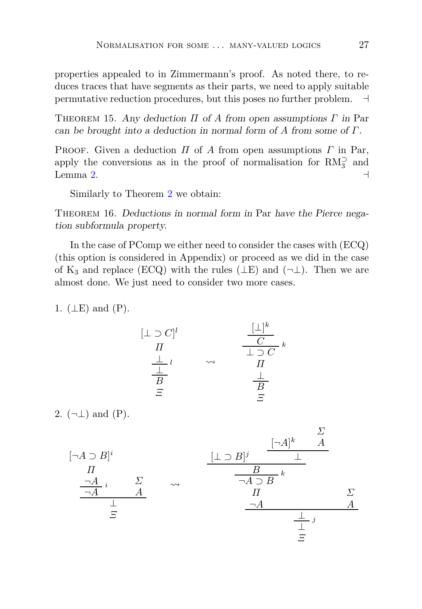properties appealed to in Zimmermann's proof. As noted there, to reduces traces that have segments as their parts, we need to apply suitable permutative reduction procedures, but this poses no further problem. ⊣

<span id="page-26-0"></span>Theorem 15. Any deduction *Π* of *A* from open assumptions *Γ* in Par can be brought into a deduction in normal form of *A* from some of *Γ*.

Proof. Given a deduction *Π* of *A* from open assumptions *Γ* in Par, apply the conversions as in the proof of normalisation for  $RM_3^{\supset}$  and Lemma [2.](#page-25-0)  $\rightarrow$ 

Similarly to Theorem [2](#page-13-1) we obtain:

THEOREM 16. Deductions in normal form in Par have the Pierce negation subformula property.

In the case of PComp we either need to consider the cases with (ECQ) (this option is considered in Appendix) or proceed as we did in the case of K<sub>3</sub> and replace (ECQ) with the rules ( $\perp$ E) and ( $\neg$  $\perp$ ). Then we are almost done. We just need to consider two more cases.

1.  $(\perp E)$  and  $(P)$ .

$$
[\bot \supset C]^l
$$
  
\n
$$
\frac{\bot}{\Pi} \qquad \rightsquigarrow \qquad \frac{[\bot]^k}{\bot \supset C} \kappa
$$
  
\n
$$
\frac{\bot}{B} \qquad \qquad \frac{\bot}{\Pi}
$$
  
\n
$$
\frac{\bot}{B} \qquad \qquad \frac{\bot}{B}
$$
  
\n
$$
\frac{\bot}{B} \qquad \qquad \frac{\bot}{B}
$$

2.  $(\neg \bot)$  and  $(P)$ .

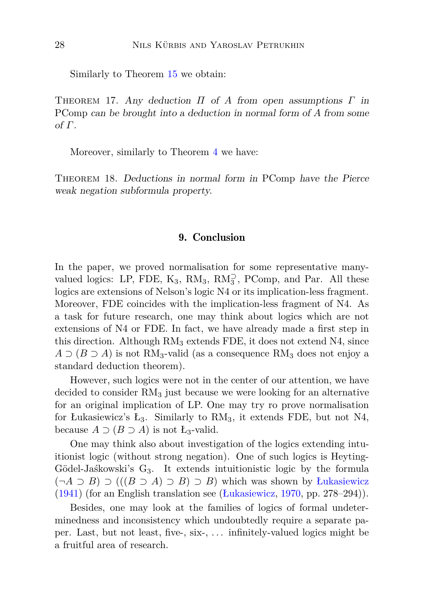Similarly to Theorem [15](#page-26-0) we obtain:

Theorem 17. Any deduction *Π* of *A* from open assumptions *Γ* in PComp can be brought into a deduction in normal form of *A* from some of *Γ*.

Moreover, similarly to Theorem [4](#page-15-0) we have:

<span id="page-27-0"></span>Theorem 18. Deductions in normal form in PComp have the Pierce weak negation subformula property.

### 9. Conclusion

In the paper, we proved normalisation for some representative manyvalued logics: LP, FDE,  $K_3$ ,  $RM_3$ ,  $RM_3^{\supset}$ , PComp, and Par. All these logics are extensions of Nelson's logic N4 or its implication-less fragment. Moreover, FDE coincides with the implication-less fragment of N4. As a task for future research, one may think about logics which are not extensions of N4 or FDE. In fact, we have already made a first step in this direction. Although  $RM_3$  extends FDE, it does not extend  $N4$ , since  $A \supset (B \supset A)$  is not RM<sub>3</sub>-valid (as a consequence RM<sub>3</sub> does not enjoy a standard deduction theorem).

However, such logics were not in the center of our attention, we have decided to consider  $RM<sub>3</sub>$  just because we were looking for an alternative for an original implication of LP. One may try ro prove normalisation for Łukasiewicz's  $L_3$ . Similarly to  $RM_3$ , it extends FDE, but not N4, because  $A \supset (B \supset A)$  is not  $L_3$ -valid.

One may think also about investigation of the logics extending intuitionist logic (without strong negation). One of such logics is Heyting-Gödel-Jaśkowski's  $G_3$ . It extends intuitionistic logic by the formula (¬*A* ⊃ *B*) ⊃ (((*B* ⊃ *A*) ⊃ *B*) ⊃ *B*) which was shown by [Łukasiewicz](#page-39-13) [\(1941](#page-39-13)) (for an English translation see [\(Łukasiewicz](#page-39-7), [1970](#page-39-7), pp. 278–294)).

Besides, one may look at the families of logics of formal undeterminedness and inconsistency which undoubtedly require a separate paper. Last, but not least, five-, six-, . . . infinitely-valued logics might be a fruitful area of research.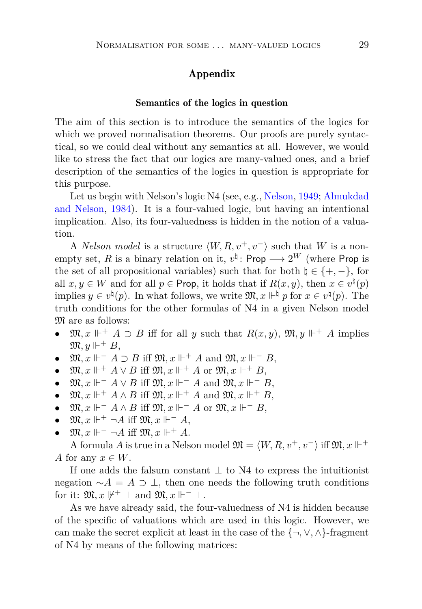## Appendix

#### Semantics of the logics in question

The aim of this section is to introduce the semantics of the logics for which we proved normalisation theorems. Our proofs are purely syntactical, so we could deal without any semantics at all. However, we would like to stress the fact that our logics are many-valued ones, and a brief description of the semantics of the logics in question is appropriate for this purpose.

Let us b[egin with Nelson's logic N4 \(see, e.g.,](#page-37-1) [Nelson](#page-39-0), [1949](#page-39-0); Almukdad and Nelson, [1984\)](#page-37-1). It is a four-valued logic, but having an intentional implication. Also, its four-valuedness is hidden in the notion of a valuation.

A *Nelson model* is a structure  $\langle W, R, v^+, v^- \rangle$  such that *W* is a nonempty set, *R* is a binary relation on it,  $v^{\natural}$ : Prop  $\longrightarrow 2^{W}$  (where Prop is the set of all propositional variables) such that for both  $\natural \in \{+, -\},\$ for all  $x, y \in W$  and for all  $p \in \text{Prop}$ , it holds that if  $R(x, y)$ , then  $x \in v^{\natural}(p)$ implies  $y \in v^{\natural}(p)$ . In what follows, we write  $\mathfrak{M}, x \Vdash^{\natural} p$  for  $x \in v^{\natural}(p)$ . The truth conditions for the other formulas of N4 in a given Nelson model  $\mathfrak{M}$  are as follows:

- $\mathfrak{M}, x \Vdash^+ A \supset B$  iff for all *y* such that  $R(x, y)$ ,  $\mathfrak{M}, y \Vdash^+ A$  implies  $\mathfrak{M}, y \Vdash^+ B$ ,
- $\mathfrak{M}, x \Vdash^{-} A \supset B$  iff  $\mathfrak{M}, x \Vdash^{+} A$  and  $\mathfrak{M}, x \Vdash^{-} B$ ,
- $\mathfrak{M}, x \Vdash^+ A \vee B$  iff  $\mathfrak{M}, x \Vdash^+ A$  or  $\mathfrak{M}, x \Vdash^+ B$ ,
- $\mathfrak{M}, x \Vdash^{-} A \vee B$  iff  $\mathfrak{M}, x \Vdash^{-} A$  and  $\mathfrak{M}, x \Vdash^{-} B$ ,
- $\mathfrak{M}, x \Vdash^+ A \wedge B$  iff  $\mathfrak{M}, x \Vdash^+ A$  and  $\mathfrak{M}, x \Vdash^+ B$ ,
- $\mathfrak{M}, x \Vdash^{-} A \wedge B$  iff  $\mathfrak{M}, x \Vdash^{-} A$  or  $\mathfrak{M}, x \Vdash^{-} B$ ,
- $\mathfrak{M}, x \Vdash^+ \neg A$  iff  $\mathfrak{M}, x \Vdash^- A$ ,
- $\mathfrak{M}, x \Vdash^{-} \neg A$  iff  $\mathfrak{M}, x \Vdash^{+} A$ .

A formula *A* is true in a Nelson model  $\mathfrak{M} = \langle W, R, v^+, v^- \rangle$  iff  $\mathfrak{M}, x \Vdash^+$ *A* for any  $x \in W$ .

If one adds the falsum constant  $\perp$  to N4 to express the intuitionist negation  $\sim$ *A* = *A* ⊃ ⊥, then one needs the following truth conditions for it:  $\mathfrak{M}, x \not\Vdash^+ \perp$  and  $\mathfrak{M}, x \Vdash^- \perp$ .

As we have already said, the four-valuedness of N4 is hidden because of the specific of valuations which are used in this logic. However, we can make the secret explicit at least in the case of the  $\{\neg, \vee, \wedge\}$ -fragment of N4 by means of the following matrices: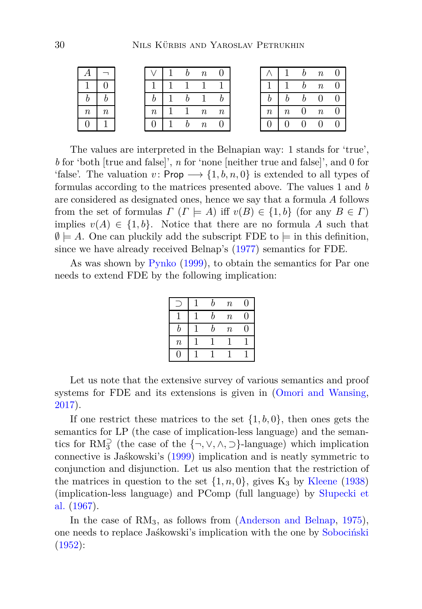|                  |  |         |  | $\it{n}$         |                  |        |         |              | $\boldsymbol{n}$ |  |
|------------------|--|---------|--|------------------|------------------|--------|---------|--------------|------------------|--|
|                  |  |         |  |                  |                  |        |         | <sub>n</sub> | $\boldsymbol{n}$ |  |
|                  |  |         |  |                  |                  |        |         | b            | $\overline{0}$   |  |
| $\boldsymbol{n}$ |  | $\it n$ |  | $\boldsymbol{n}$ | $\boldsymbol{n}$ | $\, n$ | $\it n$ | U            | $\boldsymbol{n}$ |  |
|                  |  |         |  | $\overline{n}$   |                  |        |         |              | $\theta$         |  |

The values are interpreted in the Belnapian way: 1 stands for 'true', *b* for 'both [true and false]', *n* for 'none [neither true and false]', and 0 for 'false'. The valuation  $v: \mathsf{Prop} \longrightarrow \{1, b, n, 0\}$  is extended to all types of formulas according to the matrices presented above. The values 1 and *b* are considered as designated ones, hence we say that a formula *A* follows from the set of formulas  $\Gamma$  ( $\Gamma \models A$ ) iff  $v(B) \in \{1, b\}$  (for any  $B \in \Gamma$ ) implies  $v(A) \in \{1, b\}$ . Notice that there are no formula A such that  $\emptyset \models A$ . One can pluckily add the subscript FDE to  $\models$  in this definition, since we have already received Belnap's [\(1977](#page-38-10)) semantics for FDE.

As was shown by [Pynko](#page-40-9) [\(1999](#page-40-9)), to obtain the semantics for Par one needs to extend FDE by the following implication:

|         | b | $\boldsymbol{n}$ | 0 |
|---------|---|------------------|---|
|         | h | $\boldsymbol{n}$ | 0 |
| r.      | h | $\boldsymbol{n}$ | 0 |
| $\it n$ |   |                  |   |
|         |   |                  |   |

Let us note that the extensive survey of various semantics and proof systems for FDE and its extensions is given in [\(Omori and Wansing,](#page-39-4) [2017](#page-39-4)).

If one restrict these matrices to the set {1*, b,* 0}, then ones gets the semantics for LP (the case of implication-less language) and the semantics for  $RM_3^{\supset}$  (the case of the  $\{\neg, \vee, \wedge, \supset\}$ -language) which implication connective is Jaśkowski's [\(1999\)](#page-38-4) implication and is neatly symmetric to conjunction and disjunction. Let us also mention that the restriction of the matrices in question to the set  $\{1, n, 0\}$ , gives  $K_3$  by [Kleene](#page-39-5) [\(1938](#page-39-5)) (i[mplication-less language\) and PComp \(full language\) by](#page-40-7) Słupecki et al. [\(1967](#page-40-7)).

In the case of RM<sub>3</sub>, as follows from [\(Anderson and Belnap,](#page-37-3) [1975](#page-37-3)), one needs to replace Jaśkowski's implication with the one by [Sobociński](#page-40-5) [\(1952](#page-40-5)):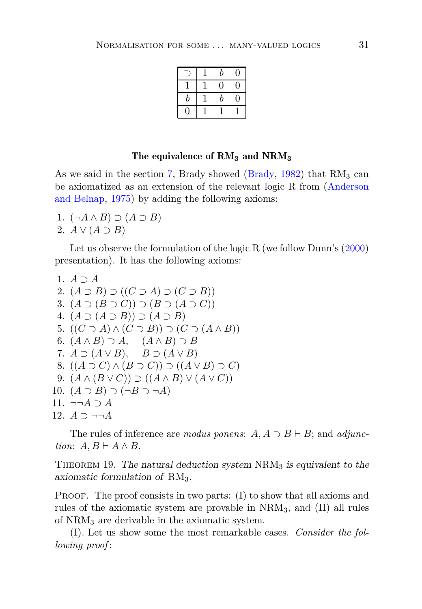|   | b  |   |
|---|----|---|
|   | IJ | J |
| b | b  | J |
|   |    |   |

### The equivalence of RM**<sup>3</sup>** and NRM**<sup>3</sup>**

As we said in the section [7,](#page-21-0) Brady showed [\(Brady](#page-38-12), [1982\)](#page-38-12) that  $RM_3$  can be axiomat[ized as an extension of the relevant logic R from \(](#page-37-3)Anderson and Belnap, [1975\)](#page-37-3) by adding the following axioms:

- 1. (¬*A* ∧ *B*) ⊃ (*A* ⊃ *B*)
- 2.  $A \vee (A \supset B)$

Let us observe the formulation of the logic R (we follow Dunn's [\(2000](#page-38-13)) presentation). It has the following axioms:

```
1. A ⊃ A
 2. (A \supset B) \supset ((C \supset A) \supset (C \supset B))3. (A \supset (B \supset C)) \supset (B \supset (A \supset C))4. (A ⊃ (A ⊃ B)) ⊃ (A ⊃ B)
 5. ((C \supset A) \wedge (C \supset B)) \supset (C \supset (A \wedge B))6. (A \wedge B) \supset A, (A \wedge B) \supset B7. A \supset (A \vee B), B \supset (A \vee B)8. ((A ⊇ C) ∧ (B ⊇ C)) ⊇ ((A ∨ B) ⊇ C)9. (A \wedge (B \vee C)) \supset ((A \wedge B) \vee (A \vee C))10. (A ⊃ B) ⊃ (¬B ⊃ ¬A)
11. ¬¬A ⊃ A
12. A ⊃ ¬¬A
```
<span id="page-30-0"></span>The rules of inference are *modus ponens*:  $A, A \supset B \vdash B$ ; and *adjunction*:  $A, B \vdash A \land B$ .

THEOREM 19. The natural deduction system  $NRM<sub>3</sub>$  is equivalent to the axiomatic formulation of  $RM_3$ .

PROOF. The proof consists in two parts: (I) to show that all axioms and rules of the axiomatic system are provable in NRM3, and (II) all rules of NRM<sup>3</sup> are derivable in the axiomatic system.

(I). Let us show some the most remarkable cases. *Consider the following proof* :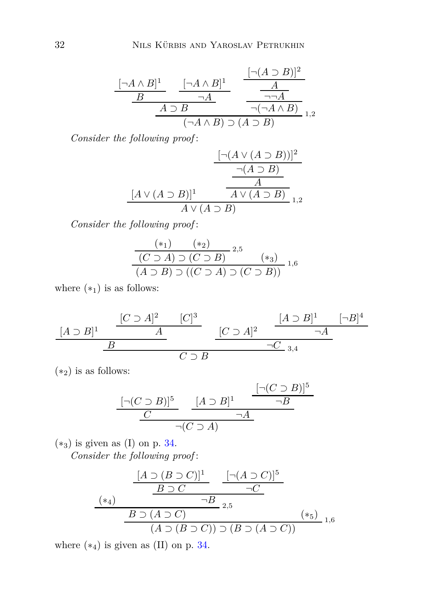$$
\frac{[\neg A \land B]^1}{B} \xrightarrow[\neg A \land B] \neg A} \frac{[\neg (A \supset B)]^2}{\neg A} \frac{A}{\neg \neg A}
$$
  
\n
$$
\frac{A \supset B}{(\neg A \land B) \supset (A \supset B)} \frac{1}{1,2}
$$

*Consider the following proof* :

$$
\frac{\left[\neg(A \lor (A \supset B))\right]^2}{\neg(A \supset B)}
$$
\n
$$
\frac{\neg(A \supset B)}{A}
$$
\n
$$
\frac{[A \lor (A \supset B)]^1}{A \lor (A \supset B)}
$$
\n
$$
\frac{[A \lor (A \supset B)]^1}{A \lor (A \supset B)}
$$
\n
$$
\frac{[A \lor (A \supset B)]^2}{A \lor (A \supset B)}
$$

*Consider the following proof* :

$$
\frac{(*)}{(C \supset A) \supset (C \supset B)} 2,5
$$
  
(A \supset B) \supset ((C \supset A) \supset (C \supset B)) 1,6

where  $(*_1)$  is as follows:

$$
\frac{[A \supset B]^1 \quad \frac{[C \supset A]^2 \quad [C]^3}{A}}{B} \quad \frac{[C \supset A]^2 \quad \frac{[A \supset B]^1 \quad [-B]^4}{\neg A}}{\neg C \supset B}
$$

 $(*_2)$  is as follows:

$$
\frac{[\neg(C \supset B)]^5}{C} \xrightarrow[\neg(C \supset A]{[A \supset B]^1} \frac{[\neg(C \supset B)]^5}{\neg B}
$$

 $(*_3)$  is given as (I) on p. [34.](#page-30-0)

*Consider the following proof* :

$$
\frac{[A \supset (B \supset C)]^{1}}{B \supset C} \xrightarrow{-G} \frac{[\neg (A \supset C)]^{5}}{\neg C}
$$
\n
$$
\xrightarrow{B \supset (A \supset C)} \neg B_{2,5} \qquad (*)
$$
\n
$$
(A \supset (B \supset C)) \supset (B \supset (A \supset C))}{(A \supset (B \supset C)) \supset (B \supset (A \supset C))} \neg B_{1,6}
$$

where  $(*_4)$  is given as  $(II)$  on p. [34.](#page-30-0)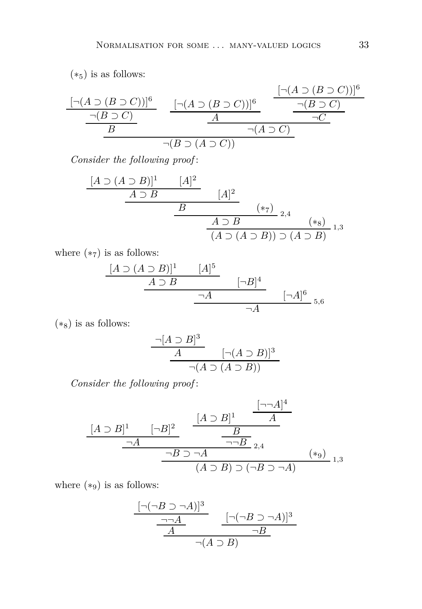$(*<sub>5</sub>)$  is as follows:

$$
\frac{[\neg(A \supset (B \supset C))]^{6}}{B} \qquad \frac{[\neg(A \supset (B \supset C))]^{6}}{A} \qquad \frac{[\neg(A \supset (B \supset C))]^{6}}{\neg(B \supset C)} \qquad \frac{[\neg(A \supset (B \supset C))]^{6}}{\neg(A \supset C)}
$$

*Consider the following proof* :

$$
\begin{array}{c|c}\n[A \supset (A \supset B)]^1 & [A]^2 \\
\hline\n& A \supset B & [A]^2 \\
\hline\n& B & (*7) \\
\hline\n& A \supset B & (*8) \\
\hline\n& (A \supset (A \supset B)) \supset (A \supset B) & 1,3\n\end{array}
$$

where  $(*_7)$  is as follows:

$$
\begin{array}{ccc}\n[A \supset (A \supset B)]^1 & [A]^5 \\
\hline\n& A \supset B & [-B]^4 \\
\hline\n& \neg A & [-A]^6 \\
\hline\n& \neg A & [A]^6\n\end{array}
$$

 $(*<sub>8</sub>)$  is as follows:

$$
\frac{\neg[A \supset B]^3}{A} \qquad [\neg(A \supset B)]^3
$$
  
 
$$
\neg(A \supset (A \supset B))
$$

*Consider the following proof* :

$$
\frac{[A \supset B]^1}{\neg A} \xrightarrow{\neg B \supset \neg A} \frac{\frac{[A \supset B]^1}{A}}{\neg B} \longrightarrow A} \xrightarrow{\neg B \supset \neg A} \longrightarrow A} (*_9)_{1,3}
$$

where  $(*_9)$  is as follows:

$$
\frac{\frac{[\neg(\neg B \supset \neg A)]^3}{\neg \neg A} \qquad [\neg(\neg B \supset \neg A)]^3}{\underline{A} \qquad \neg B}
$$

$$
\neg(A \supset B)
$$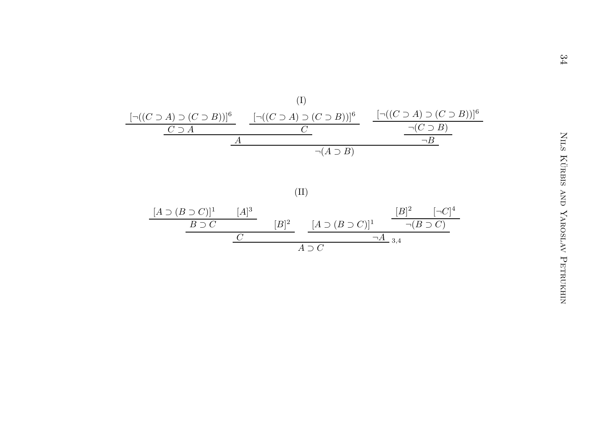

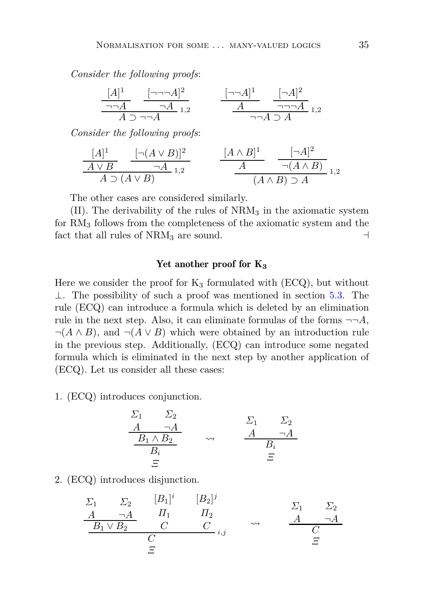*Consider the following proofs*:

$$
\frac{[A]^1}{\neg A} \quad \frac{[\neg \neg A]^2}{\neg A}_{1,2} \qquad \frac{[\neg \neg A]^1}{A} \quad \frac{[\neg A]^2}{\neg \neg A}_{1,2}
$$
\n
$$
\frac{[A]^1}{A \supset \neg A}_{1,2} \quad \frac{[\neg A]^2}{A \supset \neg A}_{1,2}
$$

*Consider the following proofs*:

$$
\frac{[A]^1}{A \vee B} \xrightarrow[\text{A} \supset (A \vee B)] \xrightarrow{1,2} \qquad \frac{[A \wedge B]^1}{A} \xrightarrow[\text{A} \wedge B) \supset A \xrightarrow[1,2] \xrightarrow[1,2] \xrightarrow[1,2] \xrightarrow[1,2] \xrightarrow[1,2] \xrightarrow[1,2] \xrightarrow[1,2] \xrightarrow[1,2] \xrightarrow[1,2] \xrightarrow[1,2] \xrightarrow[1,2] \xrightarrow[1,2] \xrightarrow[1,2] \xrightarrow[1,2] \xrightarrow[1,2] \xrightarrow[1,2] \xrightarrow[1,2] \xrightarrow[1,2] \xrightarrow[1,2] \xrightarrow[1,2] \xrightarrow[1,2] \xrightarrow[1,2] \xrightarrow[1,2] \xrightarrow[1,2] \xrightarrow[1,2] \xrightarrow[1,2] \xrightarrow[1,2] \xrightarrow[1,2] \xrightarrow[1,2] \xrightarrow[1,2] \xrightarrow[1,2] \xrightarrow[1,2] \xrightarrow[1,2] \xrightarrow[1,2] \xrightarrow[1,2] \xrightarrow[1,2] \xrightarrow[1,2] \xrightarrow[1,2] \xrightarrow[1,2] \xrightarrow[1,2] \xrightarrow[1,2] \xrightarrow[1,2] \xrightarrow[1,2] \xrightarrow[1,2] \xrightarrow[1,2] \xrightarrow[1,2] \xrightarrow[1,2] \xrightarrow[1,2] \xrightarrow[1,2] \xrightarrow[1,2] \xrightarrow[1,2] \xrightarrow[1,2] \xrightarrow[1,2] \xrightarrow[1,2] \xrightarrow[1,2] \xrightarrow[1,2] \xrightarrow[1,2] \xrightarrow[1,2] \xrightarrow[1,2] \xrightarrow[1,2] \xrightarrow[1,2] \xrightarrow[1,2] \xrightarrow[1,2] \xrightarrow[1,2] \xrightarrow[1,2] \xrightarrow[1,2] \xrightarrow[1,2] \xrightarrow[1,2] \xrightarrow[1,2] \xrightarrow[1,2] \xrightarrow[1,2] \xrightarrow[1,2] \xrightarrow[1,2] \xrightarrow[1,2] \xrightarrow[1,2] \xrightarrow[1,2] \xrightarrow[1,2] \xrightarrow[1,2] \xrightarrow[1,2] \xrightarrow[1,2] \xrightarrow[1,2] \xrightarrow[1,2] \xrightarrow[1,2] \xrightarrow[1,2] \xrightarrow[1,2] \xrightarrow[1,
$$

The other cases are considered similarly.

 $(II)$ . The derivability of the rules of  $NRM<sub>3</sub>$  in the axiomatic system for RM<sup>3</sup> follows from the completeness of the axiomatic system and the fact that all rules of  $NRM_3$  are sound. ⊣

## Yet another proof for K<sub>3</sub>

Here we consider the proof for  $K_3$  formulated with (ECQ), but without ⊥. The possibility of such a proof was mentioned in section [5.3.](#page-19-1) The rule (ECQ) can introduce a formula which is deleted by an elimination rule in the next step. Also, it can eliminate formulas of the forms  $\neg\neg A$ ,  $\neg(A \land B)$ , and  $\neg(A \lor B)$  which were obtained by an introduction rule in the previous step. Additionally, (ECQ) can introduce some negated formula which is eliminated in the next step by another application of (ECQ). Let us consider all these cases:

1. (ECQ) introduces conjunction.

$$
\begin{array}{ccc}\n\Sigma_1 & \Sigma_2 \\
\underline{A} & \neg A \\
\underline{B_1 \wedge B_2} & \rightsquigarrow & \underline{A} & \neg A \\
\underline{B_i} & \Xi\n\end{array}
$$

2. (ECQ) introduces disjunction.

$$
\begin{array}{ccc}\n\Sigma_1 & \Sigma_2 & [B_1]^i & [B_2]^j \\
\hline\n\frac{A}{B_1 \vee B_2} & \frac{H_1}{C} & \frac{H_2}{C_1} & \downarrow \\
\hline\n\frac{B_1 \vee B_2}{C} & \frac{C}{C} & \frac{C}{C_1} & \downarrow \\
\hline\n\frac{C}{C} & \frac{C}{C} & \frac{C}{C} & \frac{C}{C}\n\end{array}
$$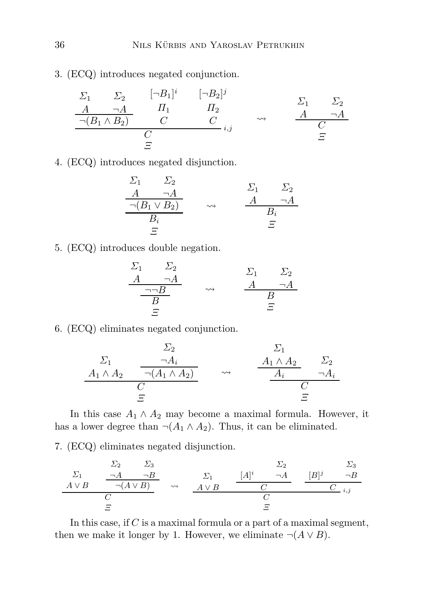3. (ECQ) introduces negated conjunction.

$$
\begin{array}{ccccccccc}\n\Sigma_1 & \Sigma_2 & [\neg B_1]^i & [\neg B_2]^j \\
\hline\nA & \neg A & H_1 & H_2 & & \Delta & \neg A \\
\hline\n\neg(B_1 \land B_2) & C & C & \land & & A & \neg A \\
\hline\nC & C & \Sigma_i & \Sigma_i & C & \Sigma \\
\hline\nE & & \Sigma_i & \Sigma_i & \Sigma_i & \Sigma_i & \Sigma_i & \Sigma_i \\
\end{array}
$$

4. (ECQ) introduces negated disjunction.

$$
\begin{array}{ccc}\n\Sigma_1 & \Sigma_2 \\
\underline{A} & \neg A \\
\hline\n\neg(B_1 \lor B_2) & \rightsquigarrow & \underline{A} & \neg A \\
\underline{B_i} & \Xi\n\end{array}
$$

5. (ECQ) introduces double negation.

$$
\begin{array}{ccc}\n\Sigma_1 & \Sigma_2 \\
\underline{A} & \neg A \\
\underline{\neg \neg B} & \leadsto & \underline{A} & \neg A \\
\underline{B} & \Xi & \end{array}
$$

6. (ECQ) eliminates negated conjunction.

$$
\begin{array}{ccc}\n\Sigma_2 & \Sigma_1 \\
\hline\nA_1 \wedge A_2 & \overline{\neg(A_1 \wedge A_2)} \\
\hline\nC & \Sigma\n\end{array} \quad \rightsquigarrow \quad \begin{array}{ccc}\n\Sigma_1 & \Sigma_2 \\
\hline\nA_1 \wedge A_2 & \Sigma_2 \\
\hline\nA_i & \neg A_i \\
\hline\nC & \Sigma\n\end{array}
$$

In this case  $A_1 \wedge A_2$  may become a maximal formula. However, it has a lower degree than  $\neg(A_1 \land A_2)$ . Thus, it can be eliminated.

7. (ECQ) eliminates negated disjunction.

$$
\begin{array}{ccccccccc}\n\Sigma_1 & & \Sigma_2 & & \Sigma_3 & & & \Sigma_2 & & \Sigma_3 \\
\hline\nA \vee B & & \neg(A \vee B) & & \leadsto & & A \vee B & & & C & & \\
\hline\nC & & & & & & C & & & \\
\hline\nE & & & & & & & & \\
\end{array}
$$

In this case, if *C* is a maximal formula or a part of a maximal segment, then we make it longer by 1. However, we eliminate  $\neg(A \lor B)$ .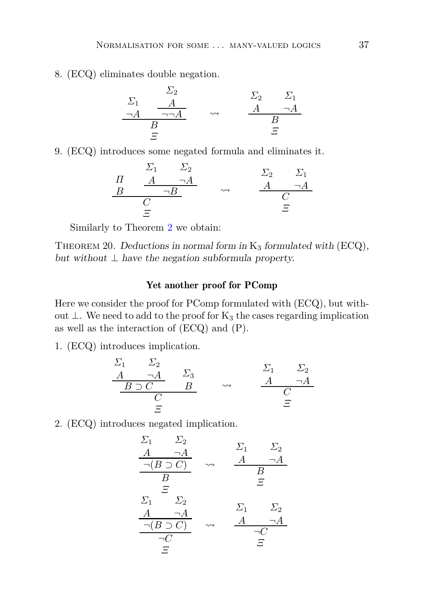8. (ECQ) eliminates double negation.

$$
\begin{array}{ccc}\n\Sigma_1 & \Sigma_2 & \Sigma_1 \\
\hline\n\neg A & \neg \Box A & \leadsto & A & \neg A \\
\hline\nB & & & & B \\
\hline\nE & & & & E\n\end{array}
$$

9. (ECQ) introduces some negated formula and eliminates it.

$$
\begin{array}{ccc}\n & \Sigma_1 & \Sigma_2 & & \Sigma_2 & \Sigma_1 \\
\hline\nH & A & \neg A & & & A & \neg A \\
B & \neg B & & \leadsto & & \underbrace{A & \neg A} \\
C & & \Xi & & & \end{array}
$$

Similarly to Theorem [2](#page-13-1) we obtain:

THEOREM 20. Deductions in normal form in  $K_3$  formulated with  $(ECQ)$ , but without  $\perp$  have the negation subformula property.

## Yet another proof for PComp

Here we consider the proof for PComp formulated with (ECQ), but without ⊥. We need to add to the proof for  $K_3$  the cases regarding implication as well as the interaction of (ECQ) and (P).

1. (ECQ) introduces implication.

$$
\begin{array}{ccc}\n\Sigma_1 & \Sigma_2 \\
\underline{A & \neg A} & \Sigma_3 \\
\underline{B \supset C} & \underline{B} & \rightarrow & \underline{A} & \neg A \\
\underline{C} & \Xi & \end{array}
$$

2. (ECQ) introduces negated implication.

$$
\frac{\Sigma_1}{A} \quad \frac{\Sigma_2}{\neg(B \supset C)} \quad \sim \quad \frac{A}{A} \quad \frac{\neg A}{B}
$$
\n
$$
\frac{\Sigma_1}{B} \quad \frac{\Sigma_2}{E}
$$
\n
$$
\frac{\Sigma_1}{\neg B} \quad \frac{\Sigma_2}{E}
$$
\n
$$
\frac{A}{\neg(A)} \quad \frac{\Sigma_1}{\neg B} \quad \frac{\Sigma_2}{E}
$$
\n
$$
\frac{\neg(B \supset C)}{\neg C} \quad \sim \quad \frac{A}{\neg C} \quad \frac{\neg A}{E}
$$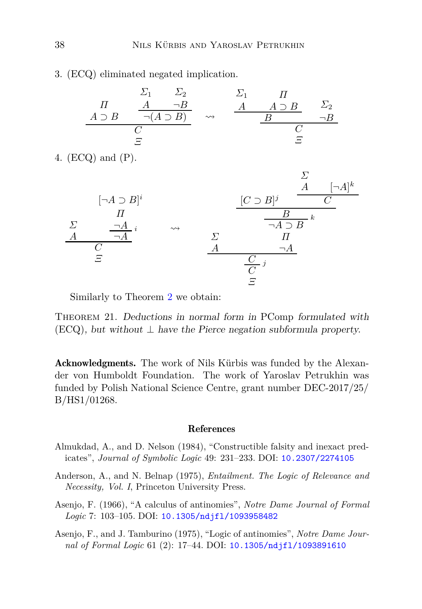3. (ECQ) eliminated negated implication.

|               |                          | ∠າ                  |                    |               |            |
|---------------|--------------------------|---------------------|--------------------|---------------|------------|
|               |                          | $\neg B$            |                    | $A \supset B$ | $\sum_{2}$ |
| $A \supset B$ |                          | $\neg(A \supset B)$ | $\rightsquigarrow$ |               |            |
|               |                          |                     |                    |               |            |
|               | $\overline{\phantom{a}}$ |                     |                    |               |            |

4. (ECQ) and (P).



Similarly to Theorem [2](#page-13-1) we obtain:

THEOREM 21. Deductions in normal form in PComp formulated with  $(ECQ)$ , but without  $\perp$  have the Pierce negation subformula property.

Acknowledgments. The work of Nils Kürbis was funded by the Alexander von Humboldt Foundation. The work of Yaroslav Petrukhin was funded by Polish National Science Centre, grant number DEC-2017/25/ B/HS1/01268.

### References

- <span id="page-37-1"></span>Almukdad, A., and D. Nelson (1984), "Constructible falsity and inexact predicates", *Journal of Symbolic Logic* 49: 231–233. DOI: [10.2307/2274105](http://dx.doi.org/10.2307/2274105)
- <span id="page-37-3"></span>Anderson, A., and N. Belnap (1975), *Entailment. The Logic of Relevance and Necessity, Vol. I*, Princeton University Press.
- <span id="page-37-0"></span>Asenjo, F. (1966), "A calculus of antinomies", *Notre Dame Journal of Formal Logic* 7: 103–105. DOI: [10.1305/ndjfl/1093958482](http://dx.doi.org/10.1305/ndjfl/1093958482)
- <span id="page-37-2"></span>Asenjo, F., and J. Tamburino (1975), "Logic of antinomies", *Notre Dame Journal of Formal Logic* 61 (2): 17–44. DOI: [10.1305/ndjfl/1093891610](http://dx.doi.org/10.1305/ndjfl/1093891610)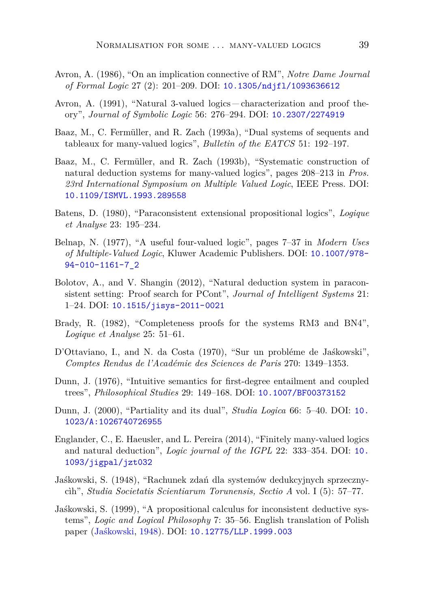- <span id="page-38-6"></span>Avron, A. (1986), "On an implication connective of RM", *Notre Dame Journal of Formal Logic* 27 (2): 201–209. DOI: [10.1305/ndjfl/1093636612](http://dx.doi.org/10.1305/ndjfl/1093636612)
- <span id="page-38-0"></span>Avron, A. (1991), "Natural 3-valued logics – characterization and proof theory", *Journal of Symbolic Logic* 56: 276–294. DOI: [10.2307/2274919](http://dx.doi.org/10.2307/2274919)
- <span id="page-38-7"></span>Baaz, M., C. Fermüller, and R. Zach (1993a), "Dual systems of sequents and tableaux for many-valued logics", *Bulletin of the EATCS* 51: 192–197.
- <span id="page-38-1"></span>Baaz, M., C. Fermüller, and R. Zach (1993b), "Systematic construction of natural deduction systems for many-valued logics", pages 208–213 in *Pros. 23rd International Symposium on Multiple Valued Logic*, IEEE Press. DOI: [10.1109/ISMVL.1993.289558](http://dx.doi.org/10.1109/ISMVL.1993.289558)
- <span id="page-38-5"></span>Batens, D. (1980), "Paraconsistent extensional propositional logics", *Logique et Analyse* 23: 195–234.
- <span id="page-38-10"></span>Belnap, N. (1977), "A useful four-valued logic", pages 7–37 in *Modern Uses of Multiple-Valued Logic*, Kluwer Academic Publishers. DOI: [10.1007/978-](http://dx.doi.org/10.1007/978-94-010-1161-7_2) [94-010-1161-7\\_2](http://dx.doi.org/10.1007/978-94-010-1161-7_2)
- <span id="page-38-9"></span>Bolotov, A., and V. Shangin (2012), "Natural deduction system in paraconsistent setting: Proof search for PCont", *Journal of Intelligent Systems* 21: 1–24. DOI: [10.1515/jisys-2011-0021](http://dx.doi.org/10.1515/jisys-2011-0021)
- <span id="page-38-12"></span>Brady, R. (1982), "Completeness proofs for the systems RM3 and BN4", *Logique et Analyse* 25: 51–61.
- <span id="page-38-8"></span>D'Ottaviano, I., and N. da Costa (1970), "Sur un probléme de Jaśkowski", *Comptes Rendus de l'Académie des Sciences de Paris* 270: 1349–1353.
- <span id="page-38-11"></span>Dunn, J. (1976), "Intuitive semantics for first-degree entailment and coupled trees", *Philosophical Studies* 29: 149–168. DOI: [10.1007/BF00373152](http://dx.doi.org/10.1007/BF00373152)
- <span id="page-38-13"></span>Dunn, J. (2000), "Partiality and its dual", *Studia Logica* 66: 5–40. DOI: [10.](http://dx.doi.org/10.1023/A:1026740726955) [1023/A:1026740726955](http://dx.doi.org/10.1023/A:1026740726955)
- <span id="page-38-2"></span>Englander, C., E. Haeusler, and L. Pereira (2014), "Finitely many-valued logics and natural deduction", *Logic journal of the IGPL* 22: 333–354. DOI: [10.](http://dx.doi.org/10.1093/jigpal/jzt032) [1093/jigpal/jzt032](http://dx.doi.org/10.1093/jigpal/jzt032)
- <span id="page-38-3"></span>Jaśkowski, S. (1948), "Rachunek zdań dla systemów dedukcyjnych sprzecznycìh", *Studia Societatis Scientiarum Torunensis, Sectio A* vol. I (5): 57–77.
- <span id="page-38-4"></span>Jaśkowski, S. (1999), "A propositional calculus for inconsistent deductive systems", *Logic and Logical Philosophy* 7: 35–56. English translation of Polish paper [\(Jaśkowski](#page-38-3), [1948\)](#page-38-3). DOI: [10.12775/LLP.1999.003](http://dx.doi.org/10.12775/LLP.1999.003)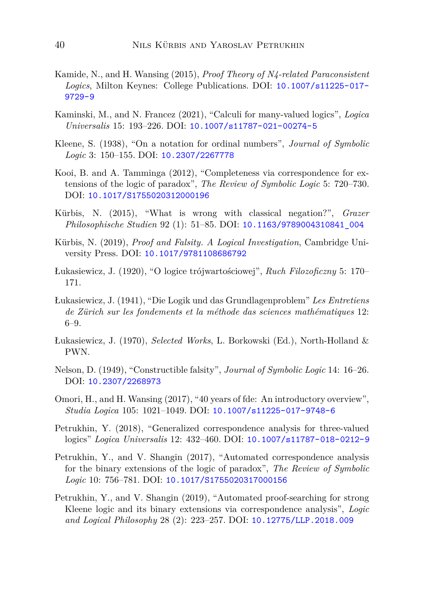- <span id="page-39-12"></span>Kamide, N., and H. Wansing (2015), *Proof Theory of N4-related Paraconsistent Logics*, Milton Keynes: College Publications. DOI: [10.1007/s11225-017-](http://dx.doi.org/10.1007/s11225-017-9729-9) [9729-9](http://dx.doi.org/10.1007/s11225-017-9729-9)
- <span id="page-39-1"></span>Kaminski, M., and N. Francez (2021), "Calculi for many-valued logics", *Logica Universalis* 15: 193–226. DOI: [10.1007/s11787-021-00274-5](http://dx.doi.org/10.1007/s11787-021-00274-5)
- <span id="page-39-5"></span>Kleene, S. (1938), "On a notation for ordinal numbers", *Journal of Symbolic Logic* 3: 150–155. DOI: [10.2307/2267778](http://dx.doi.org/10.2307/2267778)
- <span id="page-39-2"></span>Kooi, B. and A. Tamminga (2012), "Completeness via correspondence for extensions of the logic of paradox", *The Review of Symbolic Logic* 5: 720–730. DOI: [10.1017/S1755020312000196](http://dx.doi.org/10.1017/S1755020312000196)
- <span id="page-39-10"></span>Kürbis, N. (2015), "What is wrong with classical negation?", *Grazer Philosophische Studien* 92 (1): 51–85. DOI: [10.1163/9789004310841\\_004](http://dx.doi.org/10.1163/9789004310841_004)
- <span id="page-39-11"></span>Kürbis, N. (2019), *Proof and Falsity. A Logical Investigation*, Cambridge University Press. DOI: [10.1017/9781108686792](http://dx.doi.org/10.1017/9781108686792)
- <span id="page-39-6"></span>Łukasiewicz, J. (1920), "O logice trójwartościowej", *Ruch Filozoficzny* 5: 170– 171.
- <span id="page-39-13"></span>Łukasiewicz, J. (1941), "Die Logik und das Grundlagenproblem" *Les Entretiens de Zürich sur les fondements et la méthode das sciences mathématiques* 12: 6–9.
- <span id="page-39-7"></span>Łukasiewicz, J. (1970), *Selected Works*, L. Borkowski (Ed.), North-Holland & PWN.
- <span id="page-39-0"></span>Nelson, D. (1949), "Constructible falsity", *Journal of Symbolic Logic* 14: 16–26. DOI: [10.2307/2268973](http://dx.doi.org/10.2307/2268973)
- <span id="page-39-4"></span>Omori, H., and H. Wansing (2017), "40 years of fde: An introductory overview", *Studia Logica* 105: 1021–1049. DOI: [10.1007/s11225-017-9748-6](http://dx.doi.org/10.1007/s11225-017-9748-6)
- <span id="page-39-3"></span>Petrukhin, Y. (2018), "Generalized correspondence analysis for three-valued logics" *Logica Universalis* 12: 432–460. DOI: [10.1007/s11787-018-0212-9](http://dx.doi.org/10.1007/s11787-018-0212-9)
- <span id="page-39-8"></span>Petrukhin, Y., and V. Shangin (2017), "Automated correspondence analysis for the binary extensions of the logic of paradox", *The Review of Symbolic Logic* 10: 756–781. DOI: [10.1017/S1755020317000156](http://dx.doi.org/10.1017/S1755020317000156)
- <span id="page-39-9"></span>Petrukhin, Y., and V. Shangin (2019), "Automated proof-searching for strong Kleene logic and its binary extensions via correspondence analysis", *Logic and Logical Philosophy* 28 (2): 223–257. DOI: [10.12775/LLP.2018.009](http://dx.doi.org/10.12775/LLP.2018.009)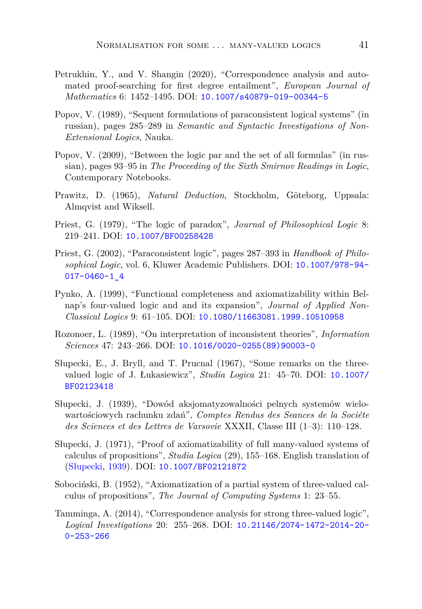- <span id="page-40-11"></span>Petrukhin, Y., and V. Shangin (2020), "Correspondence analysis and automated proof-searching for first degree entailment", *European Journal of Mathematics* 6: 1452–1495. DOI: [10.1007/s40879-019-00344-5](http://dx.doi.org/10.1007/s40879-019-00344-5)
- <span id="page-40-6"></span>Popov, V. (1989), "Sequent formulations of paraconsistent logical systems" (in russian), pages 285–289 in *Semantic and Syntactic Investigations of Non-Extensional Logics*, Nauka.
- <span id="page-40-8"></span>Popov, V. (2009), "Between the logic par and the set of all formulas" (in russian), pages 93–95 in *The Proceeding of the Sixth Smirnov Readings in Logic*, Contemporary Notebooks.
- <span id="page-40-12"></span>Prawitz, D. (1965), *Natural Deduction*, Stockholm, Göteborg, Uppsala: Almqvist and Wiksell.
- <span id="page-40-0"></span>Priest, G. (1979), "The logic of paradox", *Journal of Philosophical Logic* 8: 219–241. DOI: [10.1007/BF00258428](http://dx.doi.org/10.1007/BF00258428)
- <span id="page-40-1"></span>Priest, G. (2002), "Paraconsistent logic", pages 287–393 in *Handbook of Philosophical Logic*, vol. 6, Kluwer Academic Publishers. DOI: [10.1007/978-94-](http://dx.doi.org/10.1007/978-94-017-0460-1_4) [017-0460-1\\_4](http://dx.doi.org/10.1007/978-94-017-0460-1_4)
- <span id="page-40-9"></span>Pynko, A. (1999), "Functional completeness and axiomatizability within Belnap's four-valued logic and and its expansion", *Journal of Applied Non-Classical Logics* 9: 61–105. DOI: [10.1080/11663081.1999.10510958](http://dx.doi.org/10.1080/11663081.1999.10510958)
- <span id="page-40-4"></span>Rozonoer, L. (1989), "On interpretation of inconsistent theories", *Information Sciences* 47: 243–266. DOI: [10.1016/0020-0255\(89\)90003-0](http://dx.doi.org/10.1016/0020-0255(89)90003-0)
- <span id="page-40-7"></span>Słupecki, E., J. Bryll, and T. Prucnal (1967), "Some remarks on the threevalued logic of J. Łukasiewicz", *Studia Logica* 21: 45–70. DOI: [10.1007/](http://dx.doi.org/10.1007/BF02123418) [BF02123418](http://dx.doi.org/10.1007/BF02123418)
- <span id="page-40-2"></span>Słupecki, J. (1939), "Dowód aksjomatyzowalności pelnych systemów wielowartościowych rachunku zdań", *Comptes Rendus des Seances de la Sociéte des Sciences et des Lettres de Varsovie* XXXII, Classe III (1–3): 110–128.
- <span id="page-40-3"></span>Słupecki, J. (1971), "Proof of axiomatizability of full many-valued systems of calculus of propositions", *Studia Logica* (29), 155–168. English translation of [\(Słupecki,](#page-40-2) [1939](#page-40-2)). DOI: [10.1007/BF02121872](http://dx.doi.org/10.1007/BF02121872)
- <span id="page-40-5"></span>Sobociński, B. (1952), "Axiomatization of a partial system of three-valued calculus of propositions", *The Journal of Computing Systems* 1: 23–55.
- <span id="page-40-10"></span>Tamminga, A. (2014), "Correspondence analysis for strong three-valued logic", *Logical Investigations* 20: 255–268. DOI: [10.21146/2074-1472-2014-20-](http://dx.doi.org/10.21146/2074-1472-2014-20-0-253-266) [0-253-266](http://dx.doi.org/10.21146/2074-1472-2014-20-0-253-266)